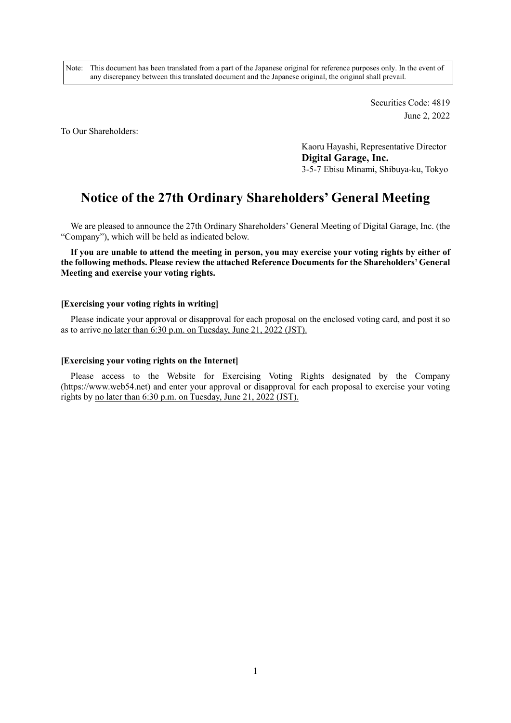Note: This document has been translated from a part of the Japanese original for reference purposes only. In the event of any discrepancy between this translated document and the Japanese original, the original shall prevail.

> Securities Code: 4819 June 2, 2022

To Our Shareholders:

Kaoru Hayashi, Representative Director **Digital Garage, Inc.**  3-5-7 Ebisu Minami, Shibuya-ku, Tokyo

# **Notice of the 27th Ordinary Shareholders' General Meeting**

We are pleased to announce the 27th Ordinary Shareholders' General Meeting of Digital Garage, Inc. (the "Company"), which will be held as indicated below.

**If you are unable to attend the meeting in person, you may exercise your voting rights by either of the following methods. Please review the attached Reference Documents for the Shareholders' General Meeting and exercise your voting rights.**

#### **[Exercising your voting rights in writing]**

Please indicate your approval or disapproval for each proposal on the enclosed voting card, and post it so as to arrive no later than 6:30 p.m. on Tuesday, June 21, 2022 (JST).

#### **[Exercising your voting rights on the Internet]**

Please access to the Website for Exercising Voting Rights designated by the Company (https://www.web54.net) and enter your approval or disapproval for each proposal to exercise your voting rights by no later than 6:30 p.m. on Tuesday, June 21, 2022 (JST).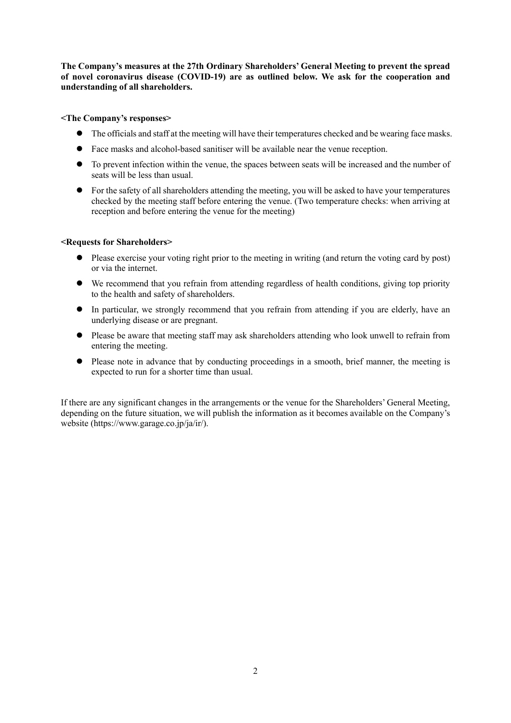**The Company's measures at the 27th Ordinary Shareholders' General Meeting to prevent the spread of novel coronavirus disease (COVID-19) are as outlined below. We ask for the cooperation and understanding of all shareholders.**

**<The Company's responses>**

- The officials and staff at the meeting will have their temperatures checked and be wearing face masks.
- Face masks and alcohol-based sanitiser will be available near the venue reception.
- To prevent infection within the venue, the spaces between seats will be increased and the number of seats will be less than usual.
- For the safety of all shareholders attending the meeting, you will be asked to have your temperatures checked by the meeting staff before entering the venue. (Two temperature checks: when arriving at reception and before entering the venue for the meeting)

### **<Requests for Shareholders>**

- Please exercise your voting right prior to the meeting in writing (and return the voting card by post) or via the internet.
- We recommend that you refrain from attending regardless of health conditions, giving top priority to the health and safety of shareholders.
- In particular, we strongly recommend that you refrain from attending if you are elderly, have an underlying disease or are pregnant.
- Please be aware that meeting staff may ask shareholders attending who look unwell to refrain from entering the meeting.
- Please note in advance that by conducting proceedings in a smooth, brief manner, the meeting is expected to run for a shorter time than usual.

If there are any significant changes in the arrangements or the venue for the Shareholders' General Meeting, depending on the future situation, we will publish the information as it becomes available on the Company's website (https://www.garage.co.jp/ja/ir/).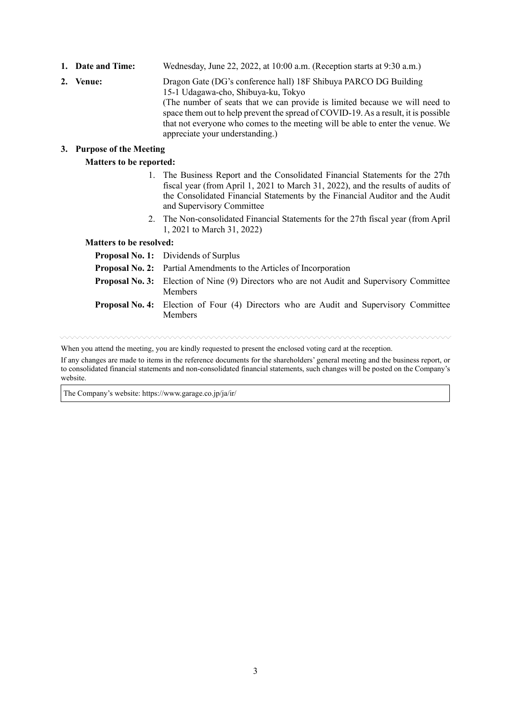- **1. Date and Time:** Wednesday, June 22, 2022, at 10:00 a.m. (Reception starts at 9:30 a.m.)
- **2. Venue:** Dragon Gate (DG's conference hall) 18F Shibuya PARCO DG Building 15-1 Udagawa-cho, Shibuya-ku, Tokyo (The number of seats that we can provide is limited because we will need to space them out to help prevent the spread of COVID-19.As a result, it is possible that not everyone who comes to the meeting will be able to enter the venue. We appreciate your understanding.)

### **3. Purpose of the Meeting**

# **Matters to be reported:**

- 1. The Business Report and the Consolidated Financial Statements for the 27th fiscal year (from April 1, 2021 to March 31, 2022), and the results of audits of the Consolidated Financial Statements by the Financial Auditor and the Audit and Supervisory Committee
- 2. The Non-consolidated Financial Statements for the 27th fiscal year (from April 1, 2021 to March 31, 2022)

# **Matters to be resolved:**

**Proposal No. 1:** Dividends of Surplus

- **Proposal No. 2:** Partial Amendments to the Articles of Incorporation
- **Proposal No. 3:** Election of Nine (9) Directors who are not Audit and Supervisory Committee Members
- **Proposal No. 4:** Election of Four (4) Directors who are Audit and Supervisory Committee Members

When you attend the meeting, you are kindly requested to present the enclosed voting card at the reception.

If any changes are made to items in the reference documents for the shareholders' general meeting and the business report, or to consolidated financial statements and non-consolidated financial statements, such changes will be posted on the Company's website.

The Company's website: https://www.garage.co.jp/ja/ir/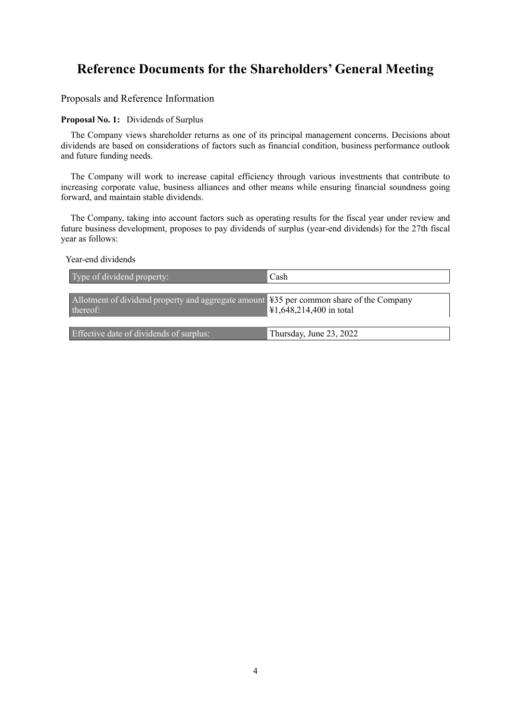# **Reference Documents for the Shareholders' General Meeting**

Proposals and Reference Information

### **Proposal No. 1:** Dividends of Surplus

The Company views shareholder returns as one of its principal management concerns. Decisions about dividends are based on considerations of factors such as financial condition, business performance outlook and future funding needs.

The Company will work to increase capital efficiency through various investments that contribute to increasing corporate value, business alliances and other means while ensuring financial soundness going forward, and maintain stable dividends.

The Company, taking into account factors such as operating results for the fiscal year under review and future business development, proposes to pay dividends of surplus (year-end dividends) for the 27th fiscal year as follows:

Year-end dividends

| Type of dividend property:                                                                                      | Cash                    |
|-----------------------------------------------------------------------------------------------------------------|-------------------------|
| Allotment of dividend property and aggregate amount $\frac{435}{3}$ per common share of the Company<br>thereof: | ¥1,648,214,400 in total |
| Effective date of dividends of surplus:                                                                         | Thursday, June 23, 2022 |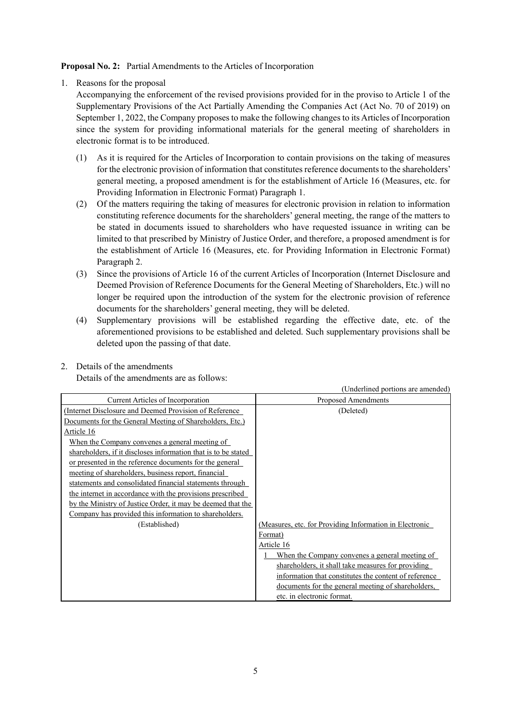**Proposal No. 2:** Partial Amendments to the Articles of Incorporation

1. Reasons for the proposal

Accompanying the enforcement of the revised provisions provided for in the proviso to Article 1 of the Supplementary Provisions of the Act Partially Amending the Companies Act (Act No. 70 of 2019) on September 1, 2022, the Company proposes to make the following changes to its Articles of Incorporation since the system for providing informational materials for the general meeting of shareholders in electronic format is to be introduced.

- (1) As it is required for the Articles of Incorporation to contain provisions on the taking of measures for the electronic provision of information that constitutes reference documents to the shareholders' general meeting, a proposed amendment is for the establishment of Article 16 (Measures, etc. for Providing Information in Electronic Format) Paragraph 1.
- (2) Of the matters requiring the taking of measures for electronic provision in relation to information constituting reference documents for the shareholders' general meeting, the range of the matters to be stated in documents issued to shareholders who have requested issuance in writing can be limited to that prescribed by Ministry of Justice Order, and therefore, a proposed amendment is for the establishment of Article 16 (Measures, etc. for Providing Information in Electronic Format) Paragraph 2.
- (3) Since the provisions of Article 16 of the current Articles of Incorporation (Internet Disclosure and Deemed Provision of Reference Documents for the General Meeting of Shareholders, Etc.) will no longer be required upon the introduction of the system for the electronic provision of reference documents for the shareholders' general meeting, they will be deleted.
- (4) Supplementary provisions will be established regarding the effective date, etc. of the aforementioned provisions to be established and deleted. Such supplementary provisions shall be deleted upon the passing of that date.

|  |  |  | 2. Details of the amendments |
|--|--|--|------------------------------|
|--|--|--|------------------------------|

Details of the amendments are as follows:

|                                                                | (Underlined portions are amended)                       |
|----------------------------------------------------------------|---------------------------------------------------------|
| Current Articles of Incorporation                              | Proposed Amendments                                     |
| (Internet Disclosure and Deemed Provision of Reference)        | (Deleted)                                               |
| Documents for the General Meeting of Shareholders, Etc.)       |                                                         |
| Article 16                                                     |                                                         |
| When the Company convenes a general meeting of                 |                                                         |
| shareholders, if it discloses information that is to be stated |                                                         |
| or presented in the reference documents for the general        |                                                         |
| meeting of shareholders, business report, financial            |                                                         |
| statements and consolidated financial statements through       |                                                         |
| the internet in accordance with the provisions prescribed      |                                                         |
| by the Ministry of Justice Order, it may be deemed that the    |                                                         |
| Company has provided this information to shareholders.         |                                                         |
| (Established)                                                  | (Measures, etc. for Providing Information in Electronic |
|                                                                | Format)                                                 |
|                                                                | Article 16                                              |
|                                                                | When the Company convenes a general meeting of          |
|                                                                | shareholders, it shall take measures for providing      |
|                                                                | information that constitutes the content of reference   |
|                                                                | documents for the general meeting of shareholders,      |
|                                                                | etc. in electronic format.                              |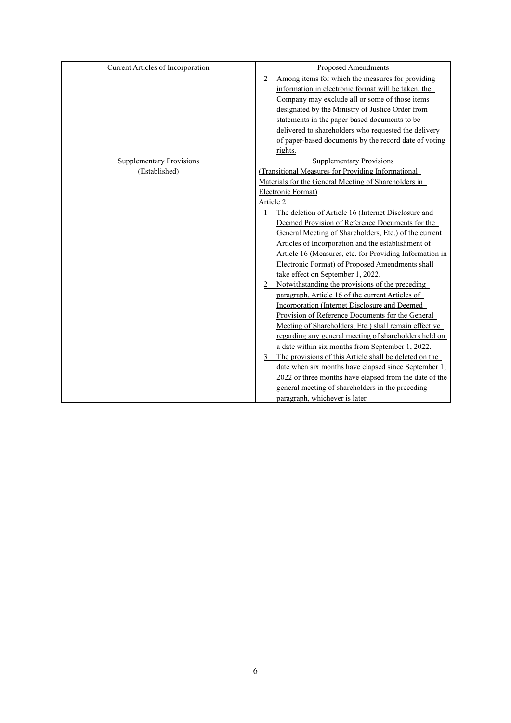| Current Articles of Incorporation | Proposed Amendments                                                    |
|-----------------------------------|------------------------------------------------------------------------|
|                                   | Among items for which the measures for providing<br>$\overline{c}$     |
|                                   | information in electronic format will be taken, the                    |
|                                   | Company may exclude all or some of those items                         |
|                                   | designated by the Ministry of Justice Order from                       |
|                                   | statements in the paper-based documents to be                          |
|                                   | delivered to shareholders who requested the delivery                   |
|                                   | of paper-based documents by the record date of voting                  |
|                                   | rights.                                                                |
| <b>Supplementary Provisions</b>   | <b>Supplementary Provisions</b>                                        |
| (Established)                     | (Transitional Measures for Providing Informational                     |
|                                   | Materials for the General Meeting of Shareholders in                   |
|                                   | Electronic Format)                                                     |
|                                   | Article 2                                                              |
|                                   | The deletion of Article 16 (Internet Disclosure and                    |
|                                   | Deemed Provision of Reference Documents for the                        |
|                                   | General Meeting of Shareholders, Etc.) of the current                  |
|                                   | Articles of Incorporation and the establishment of                     |
|                                   | Article 16 (Measures, etc. for Providing Information in                |
|                                   | Electronic Format) of Proposed Amendments shall                        |
|                                   | take effect on September 1, 2022.                                      |
|                                   | Notwithstanding the provisions of the preceding                        |
|                                   | paragraph, Article 16 of the current Articles of                       |
|                                   | Incorporation (Internet Disclosure and Deemed)                         |
|                                   | Provision of Reference Documents for the General                       |
|                                   | Meeting of Shareholders, Etc.) shall remain effective                  |
|                                   | regarding any general meeting of shareholders held on                  |
|                                   | a date within six months from September 1, 2022.                       |
|                                   | The provisions of this Article shall be deleted on the<br>$\mathbf{3}$ |
|                                   | date when six months have elapsed since September 1,                   |
|                                   | 2022 or three months have elapsed from the date of the                 |
|                                   | general meeting of shareholders in the preceding                       |
|                                   | paragraph, whichever is later.                                         |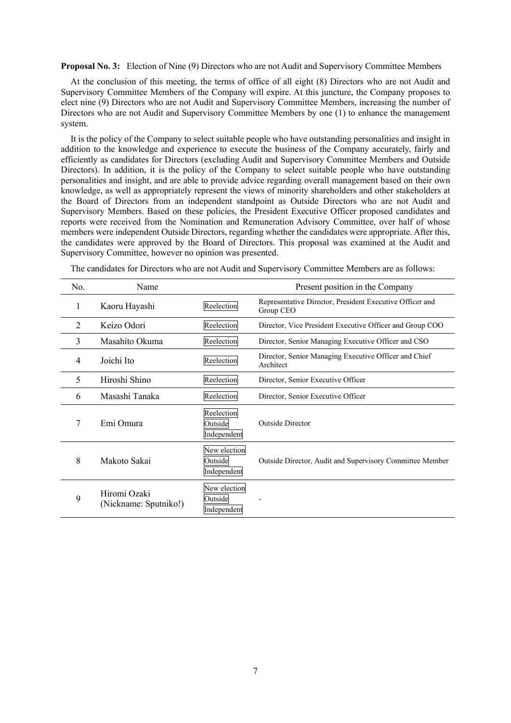**Proposal No. 3:** Election of Nine (9) Directors who are not Audit and Supervisory Committee Members

At the conclusion of this meeting, the terms of office of all eight (8) Directors who are not Audit and Supervisory Committee Members of the Company will expire. At this juncture, the Company proposes to elect nine (9) Directors who are not Audit and Supervisory Committee Members, increasing the number of Directors who are not Audit and Supervisory Committee Members by one (1) to enhance the management system.

It is the policy of the Company to select suitable people who have outstanding personalities and insight in addition to the knowledge and experience to execute the business of the Company accurately, fairly and efficiently as candidates for Directors (excluding Audit and Supervisory Committee Members and Outside Directors). In addition, it is the policy of the Company to select suitable people who have outstanding personalities and insight, and are able to provide advice regarding overall management based on their own knowledge, as well as appropriately represent the views of minority shareholders and other stakeholders at the Board of Directors from an independent standpoint as Outside Directors who are not Audit and Supervisory Members. Based on these policies, the President Executive Officer proposed candidates and reports were received from the Nomination and Remuneration Advisory Committee, over half of whose members were independent Outside Directors, regarding whether the candidates were appropriate. After this, the candidates were approved by the Board of Directors. This proposal was examined at the Audit and Supervisory Committee, however no opinion was presented.

| No. | Name                                  |                                        | Present position in the Company                                       |
|-----|---------------------------------------|----------------------------------------|-----------------------------------------------------------------------|
| 1   | Kaoru Hayashi                         | Reelection                             | Representative Director, President Executive Officer and<br>Group CEO |
| 2   | Keizo Odori                           | Reelection                             | Director, Vice President Executive Officer and Group COO              |
| 3   | Masahito Okuma                        | Reelection                             | Director, Senior Managing Executive Officer and CSO                   |
| 4   | Joichi Ito                            | Reelection                             | Director, Senior Managing Executive Officer and Chief<br>Architect    |
| 5   | Hiroshi Shino                         | Reelection                             | Director, Senior Executive Officer                                    |
| 6   | Masashi Tanaka                        | Reelection                             | Director, Senior Executive Officer                                    |
| 7   | Emi Omura                             | Reelection<br>Outside<br>Independent   | <b>Outside Director</b>                                               |
| 8   | Makoto Sakai                          | New election<br>Outside<br>Independent | Outside Director, Audit and Supervisory Committee Member              |
| 9   | Hiromi Ozaki<br>(Nickname: Sputniko!) | New election<br>Outside<br>Independent |                                                                       |

The candidates for Directors who are not Audit and Supervisory Committee Members are as follows: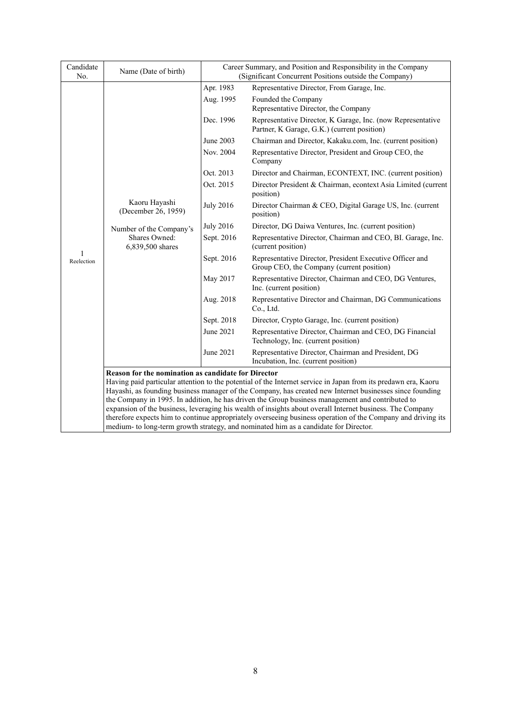| Candidate<br>No. | Name (Date of birth)                                                                                                                                                                                         | Career Summary, and Position and Responsibility in the Company<br>(Significant Concurrent Positions outside the Company) |                                                                                                            |  |  |
|------------------|--------------------------------------------------------------------------------------------------------------------------------------------------------------------------------------------------------------|--------------------------------------------------------------------------------------------------------------------------|------------------------------------------------------------------------------------------------------------|--|--|
|                  |                                                                                                                                                                                                              | Apr. 1983                                                                                                                | Representative Director, From Garage, Inc.                                                                 |  |  |
|                  |                                                                                                                                                                                                              | Aug. 1995                                                                                                                | Founded the Company<br>Representative Director, the Company                                                |  |  |
|                  |                                                                                                                                                                                                              | Dec. 1996                                                                                                                | Representative Director, K Garage, Inc. (now Representative<br>Partner, K Garage, G.K.) (current position) |  |  |
|                  |                                                                                                                                                                                                              | June 2003                                                                                                                | Chairman and Director, Kakaku.com, Inc. (current position)                                                 |  |  |
|                  |                                                                                                                                                                                                              | Nov. 2004                                                                                                                | Representative Director, President and Group CEO, the<br>Company                                           |  |  |
|                  |                                                                                                                                                                                                              | Oct. 2013                                                                                                                | Director and Chairman, ECONTEXT, INC. (current position)                                                   |  |  |
|                  |                                                                                                                                                                                                              | Oct. 2015                                                                                                                | Director President & Chairman, econtext Asia Limited (current<br>position)                                 |  |  |
|                  | Kaoru Hayashi<br>(December 26, 1959)<br>Number of the Company's<br>Shares Owned:<br>6,839,500 shares                                                                                                         | <b>July 2016</b>                                                                                                         | Director Chairman & CEO, Digital Garage US, Inc. (current<br>position)                                     |  |  |
|                  |                                                                                                                                                                                                              | <b>July 2016</b>                                                                                                         | Director, DG Daiwa Ventures, Inc. (current position)                                                       |  |  |
|                  |                                                                                                                                                                                                              | Sept. 2016                                                                                                               | Representative Director, Chairman and CEO, BI. Garage, Inc.<br>(current position)                          |  |  |
| 1<br>Reelection  |                                                                                                                                                                                                              | Sept. 2016                                                                                                               | Representative Director, President Executive Officer and<br>Group CEO, the Company (current position)      |  |  |
|                  |                                                                                                                                                                                                              | May 2017                                                                                                                 | Representative Director, Chairman and CEO, DG Ventures,<br>Inc. (current position)                         |  |  |
|                  |                                                                                                                                                                                                              | Aug. 2018                                                                                                                | Representative Director and Chairman, DG Communications<br>Co., Ltd.                                       |  |  |
|                  |                                                                                                                                                                                                              | Sept. 2018                                                                                                               | Director, Crypto Garage, Inc. (current position)                                                           |  |  |
|                  |                                                                                                                                                                                                              | June 2021                                                                                                                | Representative Director, Chairman and CEO, DG Financial<br>Technology, Inc. (current position)             |  |  |
|                  |                                                                                                                                                                                                              | June 2021                                                                                                                | Representative Director, Chairman and President, DG<br>Incubation, Inc. (current position)                 |  |  |
|                  | Reason for the nomination as candidate for Director                                                                                                                                                          |                                                                                                                          |                                                                                                            |  |  |
|                  | Having paid particular attention to the potential of the Internet service in Japan from its predawn era, Kaoru                                                                                               |                                                                                                                          |                                                                                                            |  |  |
|                  | Hayashi, as founding business manager of the Company, has created new Internet businesses since founding<br>the Company in 1995. In addition, he has driven the Group business management and contributed to |                                                                                                                          |                                                                                                            |  |  |
|                  |                                                                                                                                                                                                              |                                                                                                                          | expansion of the business, leveraging his wealth of insights about overall Internet business. The Company  |  |  |
|                  | therefore expects him to continue appropriately overseeing business operation of the Company and driving its                                                                                                 |                                                                                                                          |                                                                                                            |  |  |
|                  | medium- to long-term growth strategy, and nominated him as a candidate for Director.                                                                                                                         |                                                                                                                          |                                                                                                            |  |  |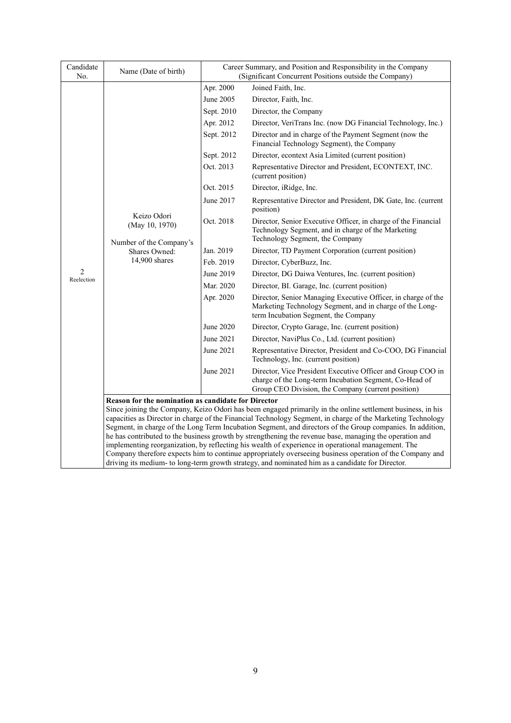| Candidate<br>No.             | Name (Date of birth)                                                                                                                                                                                                      | Career Summary, and Position and Responsibility in the Company<br>(Significant Concurrent Positions outside the Company) |                                                                                                                                                                             |  |  |
|------------------------------|---------------------------------------------------------------------------------------------------------------------------------------------------------------------------------------------------------------------------|--------------------------------------------------------------------------------------------------------------------------|-----------------------------------------------------------------------------------------------------------------------------------------------------------------------------|--|--|
|                              |                                                                                                                                                                                                                           | Apr. 2000                                                                                                                | Joined Faith, Inc.                                                                                                                                                          |  |  |
|                              |                                                                                                                                                                                                                           | June 2005                                                                                                                | Director, Faith, Inc.                                                                                                                                                       |  |  |
|                              |                                                                                                                                                                                                                           | Sept. 2010                                                                                                               | Director, the Company                                                                                                                                                       |  |  |
|                              |                                                                                                                                                                                                                           | Apr. 2012                                                                                                                | Director, VeriTrans Inc. (now DG Financial Technology, Inc.)                                                                                                                |  |  |
|                              |                                                                                                                                                                                                                           | Sept. 2012                                                                                                               | Director and in charge of the Payment Segment (now the<br>Financial Technology Segment), the Company                                                                        |  |  |
|                              |                                                                                                                                                                                                                           | Sept. 2012                                                                                                               | Director, econtext Asia Limited (current position)                                                                                                                          |  |  |
|                              |                                                                                                                                                                                                                           | Oct. 2013                                                                                                                | Representative Director and President, ECONTEXT, INC.<br>(current position)                                                                                                 |  |  |
|                              |                                                                                                                                                                                                                           | Oct. 2015                                                                                                                | Director, iRidge, Inc.                                                                                                                                                      |  |  |
|                              |                                                                                                                                                                                                                           | June 2017                                                                                                                | Representative Director and President, DK Gate, Inc. (current<br>position)                                                                                                  |  |  |
|                              | Keizo Odori<br>(May 10, 1970)<br>Number of the Company's<br><b>Shares Owned:</b>                                                                                                                                          | Oct. 2018                                                                                                                | Director, Senior Executive Officer, in charge of the Financial<br>Technology Segment, and in charge of the Marketing<br>Technology Segment, the Company                     |  |  |
|                              |                                                                                                                                                                                                                           | Jan. 2019                                                                                                                | Director, TD Payment Corporation (current position)                                                                                                                         |  |  |
|                              | 14,900 shares                                                                                                                                                                                                             | Feb. 2019                                                                                                                | Director, CyberBuzz, Inc.                                                                                                                                                   |  |  |
| $\overline{c}$<br>Reelection |                                                                                                                                                                                                                           | June 2019                                                                                                                | Director, DG Daiwa Ventures, Inc. (current position)                                                                                                                        |  |  |
|                              |                                                                                                                                                                                                                           | Mar. 2020                                                                                                                | Director, BI. Garage, Inc. (current position)                                                                                                                               |  |  |
|                              |                                                                                                                                                                                                                           | Apr. 2020                                                                                                                | Director, Senior Managing Executive Officer, in charge of the<br>Marketing Technology Segment, and in charge of the Long-<br>term Incubation Segment, the Company           |  |  |
|                              |                                                                                                                                                                                                                           | June 2020                                                                                                                | Director, Crypto Garage, Inc. (current position)                                                                                                                            |  |  |
|                              |                                                                                                                                                                                                                           | June 2021                                                                                                                | Director, NaviPlus Co., Ltd. (current position)                                                                                                                             |  |  |
|                              |                                                                                                                                                                                                                           | June 2021                                                                                                                | Representative Director, President and Co-COO, DG Financial<br>Technology, Inc. (current position)                                                                          |  |  |
|                              |                                                                                                                                                                                                                           | June 2021                                                                                                                | Director, Vice President Executive Officer and Group COO in<br>charge of the Long-term Incubation Segment, Co-Head of<br>Group CEO Division, the Company (current position) |  |  |
|                              | <b>Reason for the nomination as candidate for Director</b>                                                                                                                                                                |                                                                                                                          |                                                                                                                                                                             |  |  |
|                              | Since joining the Company, Keizo Odori has been engaged primarily in the online settlement business, in his                                                                                                               |                                                                                                                          |                                                                                                                                                                             |  |  |
|                              | capacities as Director in charge of the Financial Technology Segment, in charge of the Marketing Technology<br>Segment, in charge of the Long Term Incubation Segment, and directors of the Group companies. In addition, |                                                                                                                          |                                                                                                                                                                             |  |  |
|                              |                                                                                                                                                                                                                           | he has contributed to the business growth by strengthening the revenue base, managing the operation and                  |                                                                                                                                                                             |  |  |
|                              | implementing reorganization, by reflecting his wealth of experience in operational management. The<br>Company therefore expects him to continue appropriately overseeing business operation of the Company and            |                                                                                                                          |                                                                                                                                                                             |  |  |
|                              | driving its medium- to long-term growth strategy, and nominated him as a candidate for Director.                                                                                                                          |                                                                                                                          |                                                                                                                                                                             |  |  |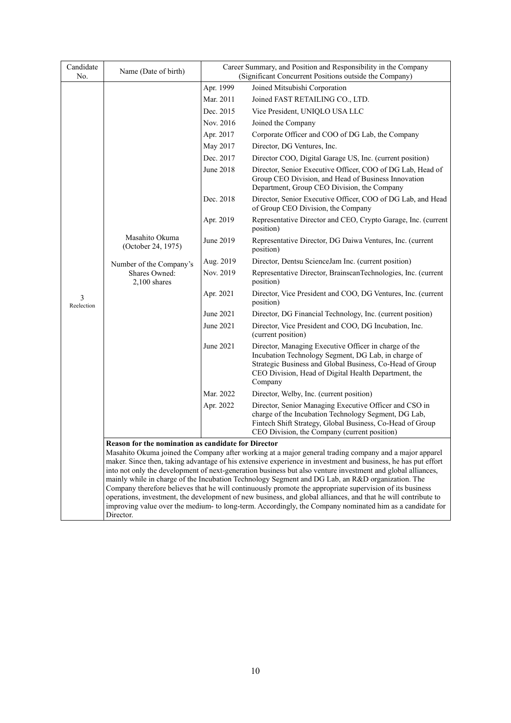| Apr. 1999<br>Joined Mitsubishi Corporation<br>Mar. 2011<br>Joined FAST RETAILING CO., LTD.<br>Dec. 2015<br>Vice President, UNIQLO USA LLC<br>Nov. 2016<br>Joined the Company<br>Apr. 2017<br>Corporate Officer and COO of DG Lab, the Company<br>May 2017<br>Director, DG Ventures, Inc.<br>Dec. 2017<br>Director COO, Digital Garage US, Inc. (current position)<br>June 2018<br>Director, Senior Executive Officer, COO of DG Lab, Head of<br>Group CEO Division, and Head of Business Innovation<br>Department, Group CEO Division, the Company |                                                                                                                                                                                                                                                                                                                                        |  |  |  |
|----------------------------------------------------------------------------------------------------------------------------------------------------------------------------------------------------------------------------------------------------------------------------------------------------------------------------------------------------------------------------------------------------------------------------------------------------------------------------------------------------------------------------------------------------|----------------------------------------------------------------------------------------------------------------------------------------------------------------------------------------------------------------------------------------------------------------------------------------------------------------------------------------|--|--|--|
|                                                                                                                                                                                                                                                                                                                                                                                                                                                                                                                                                    |                                                                                                                                                                                                                                                                                                                                        |  |  |  |
|                                                                                                                                                                                                                                                                                                                                                                                                                                                                                                                                                    |                                                                                                                                                                                                                                                                                                                                        |  |  |  |
|                                                                                                                                                                                                                                                                                                                                                                                                                                                                                                                                                    |                                                                                                                                                                                                                                                                                                                                        |  |  |  |
|                                                                                                                                                                                                                                                                                                                                                                                                                                                                                                                                                    |                                                                                                                                                                                                                                                                                                                                        |  |  |  |
|                                                                                                                                                                                                                                                                                                                                                                                                                                                                                                                                                    |                                                                                                                                                                                                                                                                                                                                        |  |  |  |
|                                                                                                                                                                                                                                                                                                                                                                                                                                                                                                                                                    |                                                                                                                                                                                                                                                                                                                                        |  |  |  |
|                                                                                                                                                                                                                                                                                                                                                                                                                                                                                                                                                    |                                                                                                                                                                                                                                                                                                                                        |  |  |  |
|                                                                                                                                                                                                                                                                                                                                                                                                                                                                                                                                                    |                                                                                                                                                                                                                                                                                                                                        |  |  |  |
| Dec. 2018<br>Director, Senior Executive Officer, COO of DG Lab, and Head<br>of Group CEO Division, the Company                                                                                                                                                                                                                                                                                                                                                                                                                                     |                                                                                                                                                                                                                                                                                                                                        |  |  |  |
| Representative Director and CEO, Crypto Garage, Inc. (current<br>Apr. 2019<br>position)                                                                                                                                                                                                                                                                                                                                                                                                                                                            |                                                                                                                                                                                                                                                                                                                                        |  |  |  |
| Masahito Okuma<br>June 2019<br>Representative Director, DG Daiwa Ventures, Inc. (current<br>(October 24, 1975)<br>position)                                                                                                                                                                                                                                                                                                                                                                                                                        |                                                                                                                                                                                                                                                                                                                                        |  |  |  |
| Aug. 2019<br>Director, Dentsu ScienceJam Inc. (current position)<br>Number of the Company's                                                                                                                                                                                                                                                                                                                                                                                                                                                        |                                                                                                                                                                                                                                                                                                                                        |  |  |  |
| Shares Owned:<br>Nov. 2019<br>Representative Director, BrainscanTechnologies, Inc. (current<br>position)<br>$2,100$ shares                                                                                                                                                                                                                                                                                                                                                                                                                         |                                                                                                                                                                                                                                                                                                                                        |  |  |  |
| Director, Vice President and COO, DG Ventures, Inc. (current<br>Apr. 2021<br>3<br>position)<br>Reelection                                                                                                                                                                                                                                                                                                                                                                                                                                          |                                                                                                                                                                                                                                                                                                                                        |  |  |  |
| June 2021<br>Director, DG Financial Technology, Inc. (current position)                                                                                                                                                                                                                                                                                                                                                                                                                                                                            |                                                                                                                                                                                                                                                                                                                                        |  |  |  |
| June 2021<br>Director, Vice President and COO, DG Incubation, Inc.<br>(current position)                                                                                                                                                                                                                                                                                                                                                                                                                                                           |                                                                                                                                                                                                                                                                                                                                        |  |  |  |
| June 2021<br>Director, Managing Executive Officer in charge of the<br>Incubation Technology Segment, DG Lab, in charge of<br>Strategic Business and Global Business, Co-Head of Group<br>CEO Division, Head of Digital Health Department, the<br>Company                                                                                                                                                                                                                                                                                           |                                                                                                                                                                                                                                                                                                                                        |  |  |  |
| Mar. 2022<br>Director, Welby, Inc. (current position)                                                                                                                                                                                                                                                                                                                                                                                                                                                                                              |                                                                                                                                                                                                                                                                                                                                        |  |  |  |
| Apr. 2022<br>Director, Senior Managing Executive Officer and CSO in                                                                                                                                                                                                                                                                                                                                                                                                                                                                                |                                                                                                                                                                                                                                                                                                                                        |  |  |  |
| charge of the Incubation Technology Segment, DG Lab,<br>Fintech Shift Strategy, Global Business, Co-Head of Group<br>CEO Division, the Company (current position)                                                                                                                                                                                                                                                                                                                                                                                  |                                                                                                                                                                                                                                                                                                                                        |  |  |  |
| Reason for the nomination as candidate for Director                                                                                                                                                                                                                                                                                                                                                                                                                                                                                                |                                                                                                                                                                                                                                                                                                                                        |  |  |  |
| mainly while in charge of the Incubation Technology Segment and DG Lab, an R&D organization. The                                                                                                                                                                                                                                                                                                                                                                                                                                                   | Masahito Okuma joined the Company after working at a major general trading company and a major apparel<br>maker. Since then, taking advantage of his extensive experience in investment and business, he has put effort<br>into not only the development of next-generation business but also venture investment and global alliances, |  |  |  |
| Director.                                                                                                                                                                                                                                                                                                                                                                                                                                                                                                                                          | Company therefore believes that he will continuously promote the appropriate supervision of its business<br>operations, investment, the development of new business, and global alliances, and that he will contribute to<br>improving value over the medium- to long-term. Accordingly, the Company nominated him as a candidate for  |  |  |  |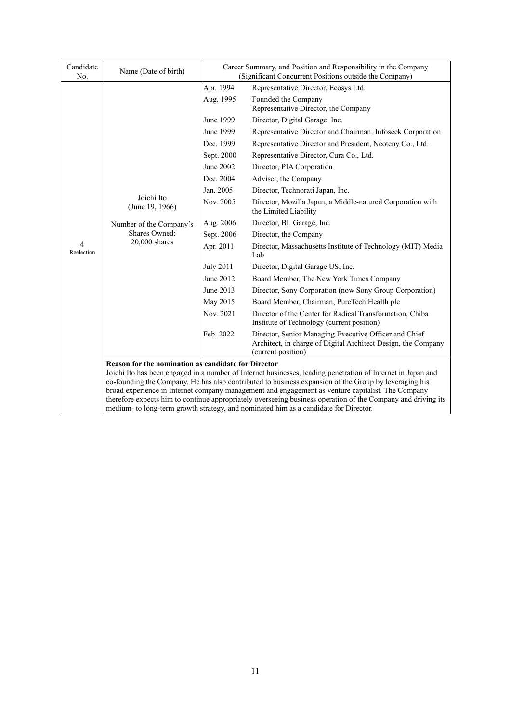| Candidate<br>No. | Name (Date of birth)                                                                                                                                                                                       | Career Summary, and Position and Responsibility in the Company<br>(Significant Concurrent Positions outside the Company) |                                                                                                                                              |  |
|------------------|------------------------------------------------------------------------------------------------------------------------------------------------------------------------------------------------------------|--------------------------------------------------------------------------------------------------------------------------|----------------------------------------------------------------------------------------------------------------------------------------------|--|
|                  |                                                                                                                                                                                                            | Apr. 1994                                                                                                                | Representative Director, Ecosys Ltd.                                                                                                         |  |
|                  |                                                                                                                                                                                                            | Aug. 1995                                                                                                                | Founded the Company<br>Representative Director, the Company                                                                                  |  |
|                  |                                                                                                                                                                                                            | June 1999                                                                                                                | Director, Digital Garage, Inc.                                                                                                               |  |
|                  |                                                                                                                                                                                                            | June 1999                                                                                                                | Representative Director and Chairman, Infoseek Corporation                                                                                   |  |
|                  |                                                                                                                                                                                                            | Dec. 1999                                                                                                                | Representative Director and President, Neoteny Co., Ltd.                                                                                     |  |
|                  |                                                                                                                                                                                                            | Sept. 2000                                                                                                               | Representative Director, Cura Co., Ltd.                                                                                                      |  |
|                  |                                                                                                                                                                                                            | June 2002                                                                                                                | Director, PIA Corporation                                                                                                                    |  |
|                  |                                                                                                                                                                                                            | Dec. 2004                                                                                                                | Adviser, the Company                                                                                                                         |  |
|                  |                                                                                                                                                                                                            | Jan. 2005                                                                                                                | Director, Technorati Japan, Inc.                                                                                                             |  |
|                  | Joichi Ito<br>(June 19, 1966)<br>Number of the Company's                                                                                                                                                   | Nov. 2005                                                                                                                | Director, Mozilla Japan, a Middle-natured Corporation with<br>the Limited Liability                                                          |  |
|                  |                                                                                                                                                                                                            | Aug. 2006                                                                                                                | Director, BI. Garage, Inc.                                                                                                                   |  |
|                  | Shares Owned:                                                                                                                                                                                              | Sept. 2006                                                                                                               | Director, the Company                                                                                                                        |  |
| 4<br>Reelection  | 20,000 shares                                                                                                                                                                                              | Apr. 2011                                                                                                                | Director, Massachusetts Institute of Technology (MIT) Media<br>Lab                                                                           |  |
|                  |                                                                                                                                                                                                            | <b>July 2011</b>                                                                                                         | Director, Digital Garage US, Inc.                                                                                                            |  |
|                  |                                                                                                                                                                                                            | June 2012                                                                                                                | Board Member, The New York Times Company                                                                                                     |  |
|                  |                                                                                                                                                                                                            | June 2013                                                                                                                | Director, Sony Corporation (now Sony Group Corporation)                                                                                      |  |
|                  |                                                                                                                                                                                                            | May 2015                                                                                                                 | Board Member, Chairman, PureTech Health plc                                                                                                  |  |
|                  |                                                                                                                                                                                                            | Nov. 2021                                                                                                                | Director of the Center for Radical Transformation, Chiba<br>Institute of Technology (current position)                                       |  |
|                  |                                                                                                                                                                                                            | Feb. 2022                                                                                                                | Director, Senior Managing Executive Officer and Chief<br>Architect, in charge of Digital Architect Design, the Company<br>(current position) |  |
|                  | <b>Reason for the nomination as candidate for Director</b>                                                                                                                                                 |                                                                                                                          |                                                                                                                                              |  |
|                  |                                                                                                                                                                                                            |                                                                                                                          | Joichi Ito has been engaged in a number of Internet businesses, leading penetration of Internet in Japan and                                 |  |
|                  | co-founding the Company. He has also contributed to business expansion of the Group by leveraging his<br>broad experience in Internet company management and engagement as venture capitalist. The Company |                                                                                                                          |                                                                                                                                              |  |
|                  | therefore expects him to continue appropriately overseeing business operation of the Company and driving its<br>medium- to long-term growth strategy, and nominated him as a candidate for Director.       |                                                                                                                          |                                                                                                                                              |  |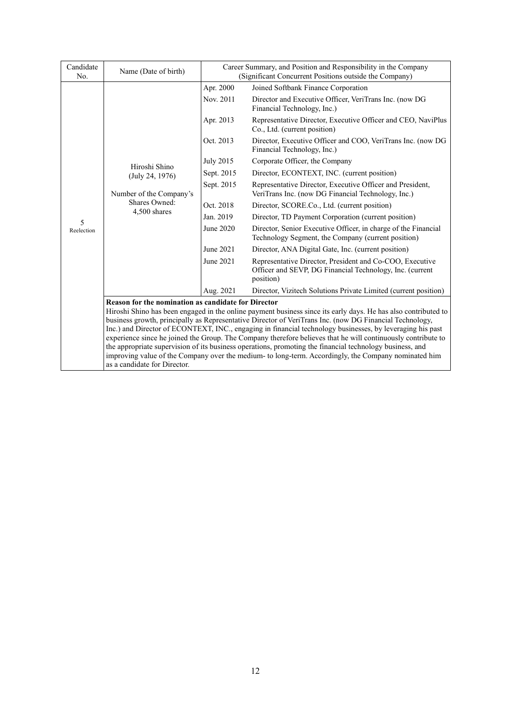| Candidate<br>No. | Name (Date of birth)                                                                                                                                                                                                 | Career Summary, and Position and Responsibility in the Company<br>(Significant Concurrent Positions outside the Company) |                                                                                                                                   |  |  |
|------------------|----------------------------------------------------------------------------------------------------------------------------------------------------------------------------------------------------------------------|--------------------------------------------------------------------------------------------------------------------------|-----------------------------------------------------------------------------------------------------------------------------------|--|--|
|                  |                                                                                                                                                                                                                      | Apr. 2000                                                                                                                | Joined Softbank Finance Corporation                                                                                               |  |  |
|                  |                                                                                                                                                                                                                      | Nov. 2011                                                                                                                | Director and Executive Officer, VeriTrans Inc. (now DG<br>Financial Technology, Inc.)                                             |  |  |
|                  |                                                                                                                                                                                                                      | Apr. 2013                                                                                                                | Representative Director, Executive Officer and CEO, NaviPlus<br>Co., Ltd. (current position)                                      |  |  |
|                  |                                                                                                                                                                                                                      | Oct. 2013                                                                                                                | Director, Executive Officer and COO, VeriTrans Inc. (now DG<br>Financial Technology, Inc.)                                        |  |  |
|                  | Hiroshi Shino                                                                                                                                                                                                        | <b>July 2015</b>                                                                                                         | Corporate Officer, the Company                                                                                                    |  |  |
|                  | (July 24, 1976)                                                                                                                                                                                                      | Sept. 2015                                                                                                               | Director, ECONTEXT, INC. (current position)                                                                                       |  |  |
|                  | Number of the Company's                                                                                                                                                                                              | Sept. 2015                                                                                                               | Representative Director, Executive Officer and President,<br>VeriTrans Inc. (now DG Financial Technology, Inc.)                   |  |  |
|                  | Shares Owned:                                                                                                                                                                                                        | Oct. 2018                                                                                                                | Director, SCORE.Co., Ltd. (current position)                                                                                      |  |  |
| 5                | 4,500 shares                                                                                                                                                                                                         | Jan. 2019                                                                                                                | Director, TD Payment Corporation (current position)                                                                               |  |  |
| Reelection       |                                                                                                                                                                                                                      | June 2020                                                                                                                | Director, Senior Executive Officer, in charge of the Financial<br>Technology Segment, the Company (current position)              |  |  |
|                  |                                                                                                                                                                                                                      | June 2021                                                                                                                | Director, ANA Digital Gate, Inc. (current position)                                                                               |  |  |
|                  |                                                                                                                                                                                                                      | June 2021                                                                                                                | Representative Director, President and Co-COO, Executive<br>Officer and SEVP, DG Financial Technology, Inc. (current<br>position) |  |  |
|                  |                                                                                                                                                                                                                      | Aug. 2021                                                                                                                | Director, Vizitech Solutions Private Limited (current position)                                                                   |  |  |
|                  | Reason for the nomination as candidate for Director                                                                                                                                                                  |                                                                                                                          |                                                                                                                                   |  |  |
|                  |                                                                                                                                                                                                                      |                                                                                                                          | Hiroshi Shino has been engaged in the online payment business since its early days. He has also contributed to                    |  |  |
|                  | business growth, principally as Representative Director of VeriTrans Inc. (now DG Financial Technology,<br>Inc.) and Director of ECONTEXT, INC., engaging in financial technology businesses, by leveraging his past |                                                                                                                          |                                                                                                                                   |  |  |
|                  | experience since he joined the Group. The Company therefore believes that he will continuously contribute to                                                                                                         |                                                                                                                          |                                                                                                                                   |  |  |
|                  | the appropriate supervision of its business operations, promoting the financial technology business, and                                                                                                             |                                                                                                                          |                                                                                                                                   |  |  |
|                  | improving value of the Company over the medium- to long-term. Accordingly, the Company nominated him<br>as a candidate for Director.                                                                                 |                                                                                                                          |                                                                                                                                   |  |  |
|                  |                                                                                                                                                                                                                      |                                                                                                                          |                                                                                                                                   |  |  |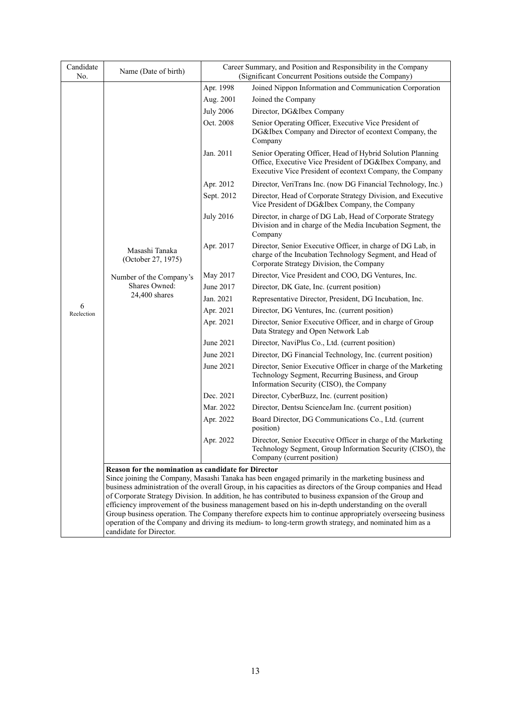| Candidate<br>No. | Name (Date of birth)                                                                                                                                                                                               |                  | Career Summary, and Position and Responsibility in the Company<br>(Significant Concurrent Positions outside the Company)                                                                                           |  |  |
|------------------|--------------------------------------------------------------------------------------------------------------------------------------------------------------------------------------------------------------------|------------------|--------------------------------------------------------------------------------------------------------------------------------------------------------------------------------------------------------------------|--|--|
|                  |                                                                                                                                                                                                                    | Apr. 1998        | Joined Nippon Information and Communication Corporation                                                                                                                                                            |  |  |
|                  |                                                                                                                                                                                                                    | Aug. 2001        | Joined the Company                                                                                                                                                                                                 |  |  |
|                  |                                                                                                                                                                                                                    | <b>July 2006</b> | Director, DG&Ibex Company                                                                                                                                                                                          |  |  |
|                  |                                                                                                                                                                                                                    | Oct. 2008        | Senior Operating Officer, Executive Vice President of<br>DG&Ibex Company and Director of econtext Company, the<br>Company                                                                                          |  |  |
|                  |                                                                                                                                                                                                                    | Jan. 2011        | Senior Operating Officer, Head of Hybrid Solution Planning<br>Office, Executive Vice President of DG&Ibex Company, and<br>Executive Vice President of econtext Company, the Company                                |  |  |
|                  |                                                                                                                                                                                                                    | Apr. 2012        | Director, VeriTrans Inc. (now DG Financial Technology, Inc.)                                                                                                                                                       |  |  |
|                  |                                                                                                                                                                                                                    | Sept. 2012       | Director, Head of Corporate Strategy Division, and Executive<br>Vice President of DG&Ibex Company, the Company                                                                                                     |  |  |
|                  |                                                                                                                                                                                                                    | July 2016        | Director, in charge of DG Lab, Head of Corporate Strategy<br>Division and in charge of the Media Incubation Segment, the<br>Company                                                                                |  |  |
|                  | Masashi Tanaka<br>(October 27, 1975)                                                                                                                                                                               | Apr. 2017        | Director, Senior Executive Officer, in charge of DG Lab, in<br>charge of the Incubation Technology Segment, and Head of<br>Corporate Strategy Division, the Company                                                |  |  |
|                  | Number of the Company's                                                                                                                                                                                            | May 2017         | Director, Vice President and COO, DG Ventures, Inc.                                                                                                                                                                |  |  |
|                  | Shares Owned:                                                                                                                                                                                                      | June 2017        | Director, DK Gate, Inc. (current position)                                                                                                                                                                         |  |  |
|                  | 24,400 shares                                                                                                                                                                                                      | Jan. 2021        | Representative Director, President, DG Incubation, Inc.                                                                                                                                                            |  |  |
| 6<br>Reelection  |                                                                                                                                                                                                                    | Apr. 2021        | Director, DG Ventures, Inc. (current position)                                                                                                                                                                     |  |  |
|                  |                                                                                                                                                                                                                    | Apr. 2021        | Director, Senior Executive Officer, and in charge of Group<br>Data Strategy and Open Network Lab                                                                                                                   |  |  |
|                  |                                                                                                                                                                                                                    | June 2021        | Director, NaviPlus Co., Ltd. (current position)                                                                                                                                                                    |  |  |
|                  |                                                                                                                                                                                                                    | June 2021        | Director, DG Financial Technology, Inc. (current position)                                                                                                                                                         |  |  |
|                  |                                                                                                                                                                                                                    | June 2021        | Director, Senior Executive Officer in charge of the Marketing<br>Technology Segment, Recurring Business, and Group<br>Information Security (CISO), the Company                                                     |  |  |
|                  |                                                                                                                                                                                                                    | Dec. 2021        | Director, CyberBuzz, Inc. (current position)                                                                                                                                                                       |  |  |
|                  |                                                                                                                                                                                                                    | Mar. 2022        | Director, Dentsu ScienceJam Inc. (current position)                                                                                                                                                                |  |  |
|                  |                                                                                                                                                                                                                    | Apr. 2022        | Board Director, DG Communications Co., Ltd. (current<br>position)                                                                                                                                                  |  |  |
|                  |                                                                                                                                                                                                                    | Apr. 2022        | Director, Senior Executive Officer in charge of the Marketing<br>Technology Segment, Group Information Security (CISO), the<br>Company (current position)                                                          |  |  |
|                  | Reason for the nomination as candidate for Director                                                                                                                                                                |                  |                                                                                                                                                                                                                    |  |  |
|                  |                                                                                                                                                                                                                    |                  | Since joining the Company, Masashi Tanaka has been engaged primarily in the marketing business and<br>business administration of the overall Group, in his capacities as directors of the Group companies and Head |  |  |
|                  |                                                                                                                                                                                                                    |                  | of Corporate Strategy Division. In addition, he has contributed to business expansion of the Group and                                                                                                             |  |  |
|                  | efficiency improvement of the business management based on his in-depth understanding on the overall                                                                                                               |                  |                                                                                                                                                                                                                    |  |  |
|                  | Group business operation. The Company therefore expects him to continue appropriately overseeing business<br>operation of the Company and driving its medium- to long-term growth strategy, and nominated him as a |                  |                                                                                                                                                                                                                    |  |  |
|                  | candidate for Director.                                                                                                                                                                                            |                  |                                                                                                                                                                                                                    |  |  |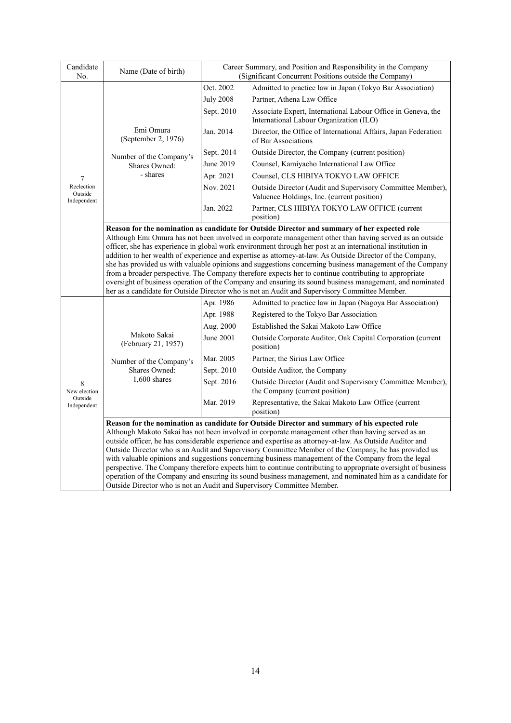| Candidate<br>No.                     | Name (Date of birth)                                                                                                                                                                                                                                                                                                                                                                                                                                                                                                                                                                                                                                       | Career Summary, and Position and Responsibility in the Company<br>(Significant Concurrent Positions outside the Company) |                                                                                                          |  |  |
|--------------------------------------|------------------------------------------------------------------------------------------------------------------------------------------------------------------------------------------------------------------------------------------------------------------------------------------------------------------------------------------------------------------------------------------------------------------------------------------------------------------------------------------------------------------------------------------------------------------------------------------------------------------------------------------------------------|--------------------------------------------------------------------------------------------------------------------------|----------------------------------------------------------------------------------------------------------|--|--|
|                                      |                                                                                                                                                                                                                                                                                                                                                                                                                                                                                                                                                                                                                                                            | Oct. 2002                                                                                                                | Admitted to practice law in Japan (Tokyo Bar Association)                                                |  |  |
|                                      |                                                                                                                                                                                                                                                                                                                                                                                                                                                                                                                                                                                                                                                            | <b>July 2008</b>                                                                                                         | Partner, Athena Law Office                                                                               |  |  |
|                                      |                                                                                                                                                                                                                                                                                                                                                                                                                                                                                                                                                                                                                                                            | Sept. 2010                                                                                                               | Associate Expert, International Labour Office in Geneva, the<br>International Labour Organization (ILO)  |  |  |
|                                      | Emi Omura<br>(September 2, 1976)                                                                                                                                                                                                                                                                                                                                                                                                                                                                                                                                                                                                                           | Jan. 2014                                                                                                                | Director, the Office of International Affairs, Japan Federation<br>of Bar Associations                   |  |  |
|                                      | Number of the Company's                                                                                                                                                                                                                                                                                                                                                                                                                                                                                                                                                                                                                                    | Sept. 2014                                                                                                               | Outside Director, the Company (current position)                                                         |  |  |
|                                      | Shares Owned:                                                                                                                                                                                                                                                                                                                                                                                                                                                                                                                                                                                                                                              | June 2019                                                                                                                | Counsel, Kamiyacho International Law Office                                                              |  |  |
| 7                                    | - shares                                                                                                                                                                                                                                                                                                                                                                                                                                                                                                                                                                                                                                                   | Apr. 2021                                                                                                                | Counsel, CLS HIBIYA TOKYO LAW OFFICE                                                                     |  |  |
| Reelection<br>Outside<br>Independent |                                                                                                                                                                                                                                                                                                                                                                                                                                                                                                                                                                                                                                                            | Nov. 2021                                                                                                                | Outside Director (Audit and Supervisory Committee Member),<br>Valuence Holdings, Inc. (current position) |  |  |
|                                      |                                                                                                                                                                                                                                                                                                                                                                                                                                                                                                                                                                                                                                                            | Jan. 2022                                                                                                                | Partner, CLS HIBIYA TOKYO LAW OFFICE (current<br>position)                                               |  |  |
|                                      | officer, she has experience in global work environment through her post at an international institution in<br>addition to her wealth of experience and expertise as attorney-at-law. As Outside Director of the Company,<br>she has provided us with valuable opinions and suggestions concerning business management of the Company<br>from a broader perspective. The Company therefore expects her to continue contributing to appropriate<br>oversight of business operation of the Company and ensuring its sound business management, and nominated<br>her as a candidate for Outside Director who is not an Audit and Supervisory Committee Member. |                                                                                                                          |                                                                                                          |  |  |
|                                      |                                                                                                                                                                                                                                                                                                                                                                                                                                                                                                                                                                                                                                                            | Apr. 1986                                                                                                                | Admitted to practice law in Japan (Nagoya Bar Association)                                               |  |  |
|                                      |                                                                                                                                                                                                                                                                                                                                                                                                                                                                                                                                                                                                                                                            | Apr. 1988                                                                                                                | Registered to the Tokyo Bar Association                                                                  |  |  |
|                                      |                                                                                                                                                                                                                                                                                                                                                                                                                                                                                                                                                                                                                                                            | Aug. 2000                                                                                                                | Established the Sakai Makoto Law Office                                                                  |  |  |
|                                      | Makoto Sakai<br>(February 21, 1957)                                                                                                                                                                                                                                                                                                                                                                                                                                                                                                                                                                                                                        | June 2001                                                                                                                | Outside Corporate Auditor, Oak Capital Corporation (current<br>position)                                 |  |  |
|                                      | Number of the Company's                                                                                                                                                                                                                                                                                                                                                                                                                                                                                                                                                                                                                                    | Mar. 2005                                                                                                                | Partner, the Sirius Law Office                                                                           |  |  |
|                                      | Shares Owned:                                                                                                                                                                                                                                                                                                                                                                                                                                                                                                                                                                                                                                              | Sept. 2010                                                                                                               | Outside Auditor, the Company                                                                             |  |  |
| 8<br>New election                    | $1,600$ shares                                                                                                                                                                                                                                                                                                                                                                                                                                                                                                                                                                                                                                             | Sept. 2016                                                                                                               | Outside Director (Audit and Supervisory Committee Member),<br>the Company (current position)             |  |  |
| Outside<br>Independent               |                                                                                                                                                                                                                                                                                                                                                                                                                                                                                                                                                                                                                                                            | Mar. 2019                                                                                                                | Representative, the Sakai Makoto Law Office (current<br>position)                                        |  |  |
|                                      |                                                                                                                                                                                                                                                                                                                                                                                                                                                                                                                                                                                                                                                            |                                                                                                                          | Reason for the nomination as candidate for Outside Director and summary of his expected role             |  |  |
|                                      | Although Makoto Sakai has not been involved in corporate management other than having served as an                                                                                                                                                                                                                                                                                                                                                                                                                                                                                                                                                         |                                                                                                                          |                                                                                                          |  |  |
|                                      | outside officer, he has considerable experience and expertise as attorney-at-law. As Outside Auditor and<br>Outside Director who is an Audit and Supervisory Committee Member of the Company, he has provided us                                                                                                                                                                                                                                                                                                                                                                                                                                           |                                                                                                                          |                                                                                                          |  |  |
|                                      |                                                                                                                                                                                                                                                                                                                                                                                                                                                                                                                                                                                                                                                            |                                                                                                                          | with valuable opinions and suggestions concerning business management of the Company from the legal      |  |  |
|                                      | perspective. The Company therefore expects him to continue contributing to appropriate oversight of business                                                                                                                                                                                                                                                                                                                                                                                                                                                                                                                                               |                                                                                                                          |                                                                                                          |  |  |
|                                      | operation of the Company and ensuring its sound business management, and nominated him as a candidate for<br>Outside Director who is not an Audit and Supervisory Committee Member.                                                                                                                                                                                                                                                                                                                                                                                                                                                                        |                                                                                                                          |                                                                                                          |  |  |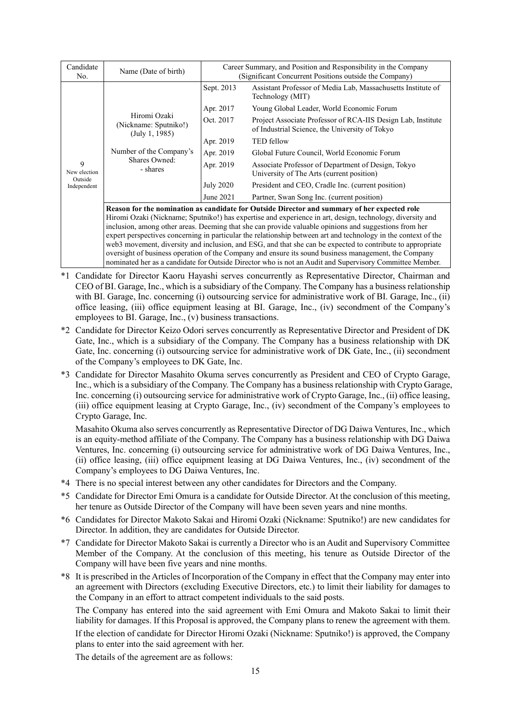| Candidate<br>No.       | Name (Date of birth)                                                                                                                                                                                                                                                                                                                                                                                                                                                                                                                               | Career Summary, and Position and Responsibility in the Company<br>(Significant Concurrent Positions outside the Company) |                                                                                                                |  |  |  |
|------------------------|----------------------------------------------------------------------------------------------------------------------------------------------------------------------------------------------------------------------------------------------------------------------------------------------------------------------------------------------------------------------------------------------------------------------------------------------------------------------------------------------------------------------------------------------------|--------------------------------------------------------------------------------------------------------------------------|----------------------------------------------------------------------------------------------------------------|--|--|--|
|                        | Hiromi Ozaki<br>(Nickname: Sputniko!)<br>(July 1, 1985)<br>Number of the Company's<br>Shares Owned:<br>- shares                                                                                                                                                                                                                                                                                                                                                                                                                                    | Sept. 2013                                                                                                               | Assistant Professor of Media Lab, Massachusetts Institute of<br>Technology (MIT)                               |  |  |  |
|                        |                                                                                                                                                                                                                                                                                                                                                                                                                                                                                                                                                    | Apr. 2017                                                                                                                | Young Global Leader, World Economic Forum                                                                      |  |  |  |
| 9<br>New election      |                                                                                                                                                                                                                                                                                                                                                                                                                                                                                                                                                    | Oct. 2017                                                                                                                | Project Associate Professor of RCA-IIS Design Lab, Institute<br>of Industrial Science, the University of Tokyo |  |  |  |
|                        |                                                                                                                                                                                                                                                                                                                                                                                                                                                                                                                                                    | Apr. 2019                                                                                                                | <b>TED</b> fellow                                                                                              |  |  |  |
|                        |                                                                                                                                                                                                                                                                                                                                                                                                                                                                                                                                                    | Apr. 2019                                                                                                                | Global Future Council, World Economic Forum                                                                    |  |  |  |
|                        |                                                                                                                                                                                                                                                                                                                                                                                                                                                                                                                                                    | Apr. 2019                                                                                                                | Associate Professor of Department of Design, Tokyo<br>University of The Arts (current position)                |  |  |  |
| Outside<br>Independent |                                                                                                                                                                                                                                                                                                                                                                                                                                                                                                                                                    | <b>July 2020</b>                                                                                                         | President and CEO, Cradle Inc. (current position)                                                              |  |  |  |
|                        |                                                                                                                                                                                                                                                                                                                                                                                                                                                                                                                                                    | June 2021                                                                                                                | Partner, Swan Song Inc. (current position)                                                                     |  |  |  |
|                        | Reason for the nomination as candidate for Outside Director and summary of her expected role<br>Hiromi Ozaki (Nickname; Sputniko!) has expertise and experience in art, design, technology, diversity and<br>inclusion, among other areas. Deeming that she can provide valuable opinions and suggestions from her<br>expert perspectives concerning in particular the relationship between art and technology in the context of the<br>web3 movement, diversity and inclusion, and ESG, and that she can be expected to contribute to appropriate |                                                                                                                          |                                                                                                                |  |  |  |

oversight of business operation of the Company and ensure its sound business management, the Company nominated her as a candidate for Outside Director who is not an Audit and Supervisory Committee Member.

- \*1 Candidate for Director Kaoru Hayashi serves concurrently as Representative Director, Chairman and CEO of BI. Garage, Inc., which is a subsidiary of the Company. The Company has a business relationship with BI. Garage, Inc. concerning (i) outsourcing service for administrative work of BI. Garage, Inc., (ii) office leasing, (iii) office equipment leasing at BI. Garage, Inc., (iv) secondment of the Company's employees to BI. Garage, Inc., (v) business transactions.
- \*2 Candidate for Director Keizo Odori serves concurrently as Representative Director and President of DK Gate, Inc., which is a subsidiary of the Company. The Company has a business relationship with DK Gate, Inc. concerning (i) outsourcing service for administrative work of DK Gate, Inc., (ii) secondment of the Company's employees to DK Gate, Inc.
- \*3 Candidate for Director Masahito Okuma serves concurrently as President and CEO of Crypto Garage, Inc., which is a subsidiary of the Company. The Company has a business relationship with Crypto Garage, Inc. concerning (i) outsourcing service for administrative work of Crypto Garage, Inc., (ii) office leasing, (iii) office equipment leasing at Crypto Garage, Inc., (iv) secondment of the Company's employees to Crypto Garage, Inc.

Masahito Okuma also serves concurrently as Representative Director of DG Daiwa Ventures, Inc., which is an equity-method affiliate of the Company. The Company has a business relationship with DG Daiwa Ventures, Inc. concerning (i) outsourcing service for administrative work of DG Daiwa Ventures, Inc., (ii) office leasing, (iii) office equipment leasing at DG Daiwa Ventures, Inc., (iv) secondment of the Company's employees to DG Daiwa Ventures, Inc.

- \*4 There is no special interest between any other candidates for Directors and the Company.
- \*5 Candidate for Director Emi Omura is a candidate for Outside Director. At the conclusion of this meeting, her tenure as Outside Director of the Company will have been seven years and nine months.
- \*6 Candidates for Director Makoto Sakai and Hiromi Ozaki (Nickname: Sputniko!) are new candidates for Director. In addition, they are candidates for Outside Director.
- \*7 Candidate for Director Makoto Sakai is currently a Director who is an Audit and Supervisory Committee Member of the Company. At the conclusion of this meeting, his tenure as Outside Director of the Company will have been five years and nine months.
- \*8 It is prescribed in the Articles of Incorporation of the Company in effect that the Company may enter into an agreement with Directors (excluding Executive Directors, etc.) to limit their liability for damages to the Company in an effort to attract competent individuals to the said posts.

The Company has entered into the said agreement with Emi Omura and Makoto Sakai to limit their liability for damages. If this Proposal is approved, the Company plans to renew the agreement with them. If the election of candidate for Director Hiromi Ozaki (Nickname: Sputniko!) is approved, the Company plans to enter into the said agreement with her.

The details of the agreement are as follows: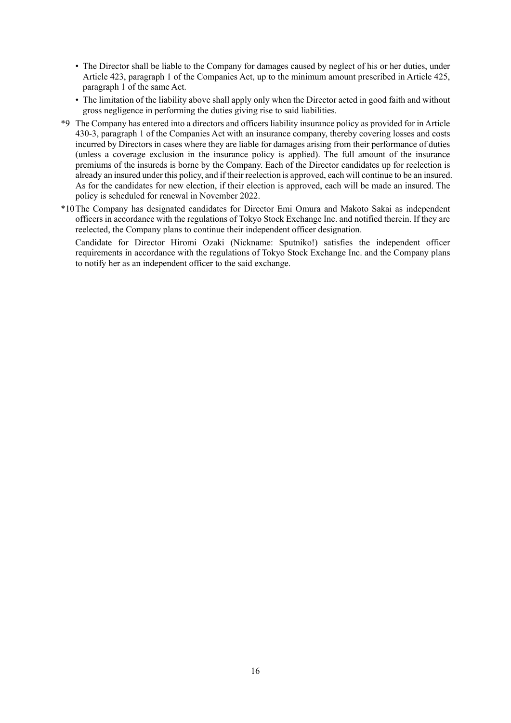- The Director shall be liable to the Company for damages caused by neglect of his or her duties, under Article 423, paragraph 1 of the Companies Act, up to the minimum amount prescribed in Article 425, paragraph 1 of the same Act.
- The limitation of the liability above shall apply only when the Director acted in good faith and without gross negligence in performing the duties giving rise to said liabilities.
- \*9 The Company has entered into a directors and officers liability insurance policy as provided for in Article 430-3, paragraph 1 of the Companies Act with an insurance company, thereby covering losses and costs incurred by Directors in cases where they are liable for damages arising from their performance of duties (unless a coverage exclusion in the insurance policy is applied). The full amount of the insurance premiums of the insureds is borne by the Company. Each of the Director candidates up for reelection is already an insured under this policy, and if their reelection is approved, each will continue to be an insured. As for the candidates for new election, if their election is approved, each will be made an insured. The policy is scheduled for renewal in November 2022.
- \*10The Company has designated candidates for Director Emi Omura and Makoto Sakai as independent officers in accordance with the regulations of Tokyo Stock Exchange Inc. and notified therein. If they are reelected, the Company plans to continue their independent officer designation.

Candidate for Director Hiromi Ozaki (Nickname: Sputniko!) satisfies the independent officer requirements in accordance with the regulations of Tokyo Stock Exchange Inc. and the Company plans to notify her as an independent officer to the said exchange.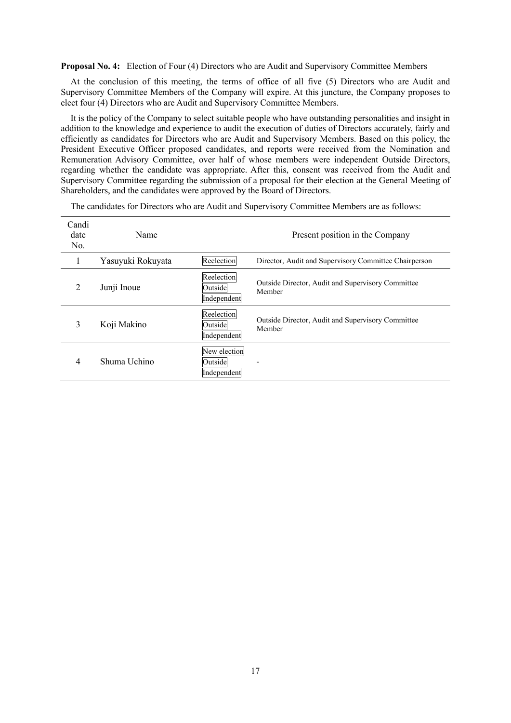**Proposal No. 4:** Election of Four (4) Directors who are Audit and Supervisory Committee Members

At the conclusion of this meeting, the terms of office of all five (5) Directors who are Audit and Supervisory Committee Members of the Company will expire. At this juncture, the Company proposes to elect four (4) Directors who are Audit and Supervisory Committee Members.

It is the policy of the Company to select suitable people who have outstanding personalities and insight in addition to the knowledge and experience to audit the execution of duties of Directors accurately, fairly and efficiently as candidates for Directors who are Audit and Supervisory Members. Based on this policy, the President Executive Officer proposed candidates, and reports were received from the Nomination and Remuneration Advisory Committee, over half of whose members were independent Outside Directors, regarding whether the candidate was appropriate. After this, consent was received from the Audit and Supervisory Committee regarding the submission of a proposal for their election at the General Meeting of Shareholders, and the candidates were approved by the Board of Directors.

| Candi<br>date<br>No. | Name              |                                        | Present position in the Company                             |
|----------------------|-------------------|----------------------------------------|-------------------------------------------------------------|
|                      | Yasuyuki Rokuyata | Reelection                             | Director, Audit and Supervisory Committee Chairperson       |
| 2                    | Junji Inoue       | Reelection<br>Outside<br>Independent   | Outside Director, Audit and Supervisory Committee<br>Member |
| 3                    | Koji Makino       | Reelection<br>Outside<br>Independent   | Outside Director, Audit and Supervisory Committee<br>Member |
| 4                    | Shuma Uchino      | New election<br>Outside<br>Independent |                                                             |

The candidates for Directors who are Audit and Supervisory Committee Members are as follows: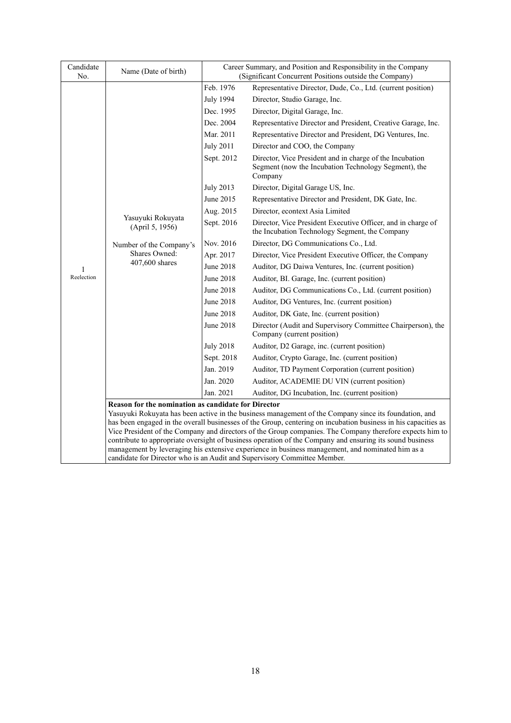| Candidate<br>No. | Name (Date of birth)                                                                                                                                                                                                                                                                                                                                                                                                                                                                                                                                                                                                                                                                   |                  | Career Summary, and Position and Responsibility in the Company<br>(Significant Concurrent Positions outside the Company)    |  |  |  |  |
|------------------|----------------------------------------------------------------------------------------------------------------------------------------------------------------------------------------------------------------------------------------------------------------------------------------------------------------------------------------------------------------------------------------------------------------------------------------------------------------------------------------------------------------------------------------------------------------------------------------------------------------------------------------------------------------------------------------|------------------|-----------------------------------------------------------------------------------------------------------------------------|--|--|--|--|
|                  |                                                                                                                                                                                                                                                                                                                                                                                                                                                                                                                                                                                                                                                                                        | Feb. 1976        | Representative Director, Dude, Co., Ltd. (current position)                                                                 |  |  |  |  |
|                  |                                                                                                                                                                                                                                                                                                                                                                                                                                                                                                                                                                                                                                                                                        | <b>July 1994</b> | Director, Studio Garage, Inc.                                                                                               |  |  |  |  |
|                  |                                                                                                                                                                                                                                                                                                                                                                                                                                                                                                                                                                                                                                                                                        | Dec. 1995        | Director, Digital Garage, Inc.                                                                                              |  |  |  |  |
|                  |                                                                                                                                                                                                                                                                                                                                                                                                                                                                                                                                                                                                                                                                                        | Dec. 2004        | Representative Director and President, Creative Garage, Inc.                                                                |  |  |  |  |
|                  |                                                                                                                                                                                                                                                                                                                                                                                                                                                                                                                                                                                                                                                                                        | Mar. 2011        | Representative Director and President, DG Ventures, Inc.                                                                    |  |  |  |  |
|                  |                                                                                                                                                                                                                                                                                                                                                                                                                                                                                                                                                                                                                                                                                        | <b>July 2011</b> | Director and COO, the Company                                                                                               |  |  |  |  |
|                  |                                                                                                                                                                                                                                                                                                                                                                                                                                                                                                                                                                                                                                                                                        | Sept. 2012       | Director, Vice President and in charge of the Incubation<br>Segment (now the Incubation Technology Segment), the<br>Company |  |  |  |  |
|                  |                                                                                                                                                                                                                                                                                                                                                                                                                                                                                                                                                                                                                                                                                        | <b>July 2013</b> | Director, Digital Garage US, Inc.                                                                                           |  |  |  |  |
|                  |                                                                                                                                                                                                                                                                                                                                                                                                                                                                                                                                                                                                                                                                                        | June 2015        | Representative Director and President, DK Gate, Inc.                                                                        |  |  |  |  |
|                  |                                                                                                                                                                                                                                                                                                                                                                                                                                                                                                                                                                                                                                                                                        | Aug. 2015        | Director, econtext Asia Limited                                                                                             |  |  |  |  |
|                  | Yasuyuki Rokuyata<br>(April 5, 1956)                                                                                                                                                                                                                                                                                                                                                                                                                                                                                                                                                                                                                                                   | Sept. 2016       | Director, Vice President Executive Officer, and in charge of<br>the Incubation Technology Segment, the Company              |  |  |  |  |
|                  | Number of the Company's<br>Shares Owned:<br>407,600 shares                                                                                                                                                                                                                                                                                                                                                                                                                                                                                                                                                                                                                             | Nov. 2016        | Director, DG Communications Co., Ltd.                                                                                       |  |  |  |  |
|                  |                                                                                                                                                                                                                                                                                                                                                                                                                                                                                                                                                                                                                                                                                        | Apr. 2017        | Director, Vice President Executive Officer, the Company                                                                     |  |  |  |  |
| 1                |                                                                                                                                                                                                                                                                                                                                                                                                                                                                                                                                                                                                                                                                                        | <b>June 2018</b> | Auditor, DG Daiwa Ventures, Inc. (current position)                                                                         |  |  |  |  |
| Reelection       |                                                                                                                                                                                                                                                                                                                                                                                                                                                                                                                                                                                                                                                                                        | June 2018        | Auditor, BI. Garage, Inc. (current position)                                                                                |  |  |  |  |
|                  |                                                                                                                                                                                                                                                                                                                                                                                                                                                                                                                                                                                                                                                                                        | June 2018        | Auditor, DG Communications Co., Ltd. (current position)                                                                     |  |  |  |  |
|                  |                                                                                                                                                                                                                                                                                                                                                                                                                                                                                                                                                                                                                                                                                        | <b>June 2018</b> | Auditor, DG Ventures, Inc. (current position)                                                                               |  |  |  |  |
|                  |                                                                                                                                                                                                                                                                                                                                                                                                                                                                                                                                                                                                                                                                                        | <b>June 2018</b> | Auditor, DK Gate, Inc. (current position)                                                                                   |  |  |  |  |
|                  |                                                                                                                                                                                                                                                                                                                                                                                                                                                                                                                                                                                                                                                                                        | <b>June 2018</b> | Director (Audit and Supervisory Committee Chairperson), the<br>Company (current position)                                   |  |  |  |  |
|                  |                                                                                                                                                                                                                                                                                                                                                                                                                                                                                                                                                                                                                                                                                        | <b>July 2018</b> | Auditor, D2 Garage, inc. (current position)                                                                                 |  |  |  |  |
|                  |                                                                                                                                                                                                                                                                                                                                                                                                                                                                                                                                                                                                                                                                                        | Sept. 2018       | Auditor, Crypto Garage, Inc. (current position)                                                                             |  |  |  |  |
|                  |                                                                                                                                                                                                                                                                                                                                                                                                                                                                                                                                                                                                                                                                                        | Jan. 2019        | Auditor, TD Payment Corporation (current position)                                                                          |  |  |  |  |
|                  |                                                                                                                                                                                                                                                                                                                                                                                                                                                                                                                                                                                                                                                                                        | Jan. 2020        | Auditor, ACADEMIE DU VIN (current position)                                                                                 |  |  |  |  |
|                  |                                                                                                                                                                                                                                                                                                                                                                                                                                                                                                                                                                                                                                                                                        | Jan. 2021        | Auditor, DG Incubation, Inc. (current position)                                                                             |  |  |  |  |
|                  | Reason for the nomination as candidate for Director<br>Yasuyuki Rokuyata has been active in the business management of the Company since its foundation, and<br>has been engaged in the overall businesses of the Group, centering on incubation business in his capacities as<br>Vice President of the Company and directors of the Group companies. The Company therefore expects him to<br>contribute to appropriate oversight of business operation of the Company and ensuring its sound business<br>management by leveraging his extensive experience in business management, and nominated him as a<br>candidate for Director who is an Audit and Supervisory Committee Member. |                  |                                                                                                                             |  |  |  |  |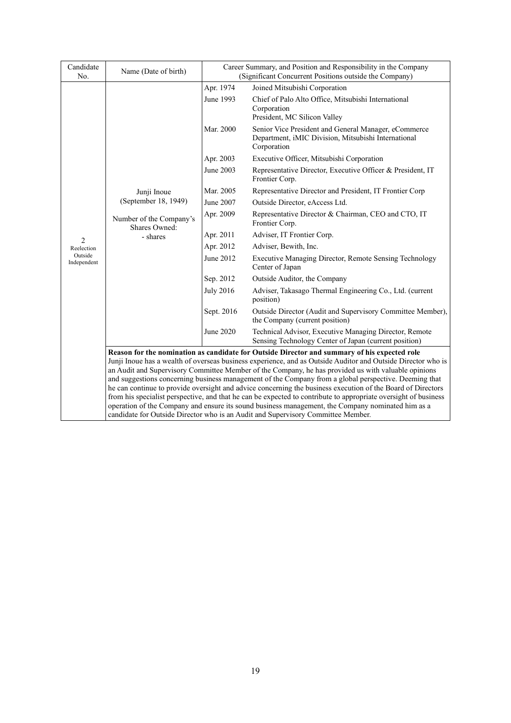| Candidate<br>No.                     | Name (Date of birth)                                                                                                                                                                                                                                                                                                                                                                                                                                                                                                                                                                                                                                                                                                                                                                                                                                    | Career Summary, and Position and Responsibility in the Company<br>(Significant Concurrent Positions outside the Company) |                                                                                                                            |  |  |  |
|--------------------------------------|---------------------------------------------------------------------------------------------------------------------------------------------------------------------------------------------------------------------------------------------------------------------------------------------------------------------------------------------------------------------------------------------------------------------------------------------------------------------------------------------------------------------------------------------------------------------------------------------------------------------------------------------------------------------------------------------------------------------------------------------------------------------------------------------------------------------------------------------------------|--------------------------------------------------------------------------------------------------------------------------|----------------------------------------------------------------------------------------------------------------------------|--|--|--|
|                                      |                                                                                                                                                                                                                                                                                                                                                                                                                                                                                                                                                                                                                                                                                                                                                                                                                                                         | Apr. 1974                                                                                                                | Joined Mitsubishi Corporation                                                                                              |  |  |  |
|                                      |                                                                                                                                                                                                                                                                                                                                                                                                                                                                                                                                                                                                                                                                                                                                                                                                                                                         | June 1993                                                                                                                | Chief of Palo Alto Office, Mitsubishi International<br>Corporation<br>President, MC Silicon Valley                         |  |  |  |
|                                      |                                                                                                                                                                                                                                                                                                                                                                                                                                                                                                                                                                                                                                                                                                                                                                                                                                                         | Mar. 2000                                                                                                                | Senior Vice President and General Manager, eCommerce<br>Department, iMIC Division, Mitsubishi International<br>Corporation |  |  |  |
|                                      |                                                                                                                                                                                                                                                                                                                                                                                                                                                                                                                                                                                                                                                                                                                                                                                                                                                         | Apr. 2003                                                                                                                | Executive Officer, Mitsubishi Corporation                                                                                  |  |  |  |
|                                      |                                                                                                                                                                                                                                                                                                                                                                                                                                                                                                                                                                                                                                                                                                                                                                                                                                                         | June 2003                                                                                                                | Representative Director, Executive Officer & President, IT<br>Frontier Corp.                                               |  |  |  |
|                                      | Junji Inoue                                                                                                                                                                                                                                                                                                                                                                                                                                                                                                                                                                                                                                                                                                                                                                                                                                             | Mar. 2005                                                                                                                | Representative Director and President, IT Frontier Corp                                                                    |  |  |  |
|                                      | (September 18, 1949)                                                                                                                                                                                                                                                                                                                                                                                                                                                                                                                                                                                                                                                                                                                                                                                                                                    | June 2007                                                                                                                | Outside Director, eAccess Ltd.                                                                                             |  |  |  |
|                                      | Number of the Company's<br>Shares Owned:<br>- shares                                                                                                                                                                                                                                                                                                                                                                                                                                                                                                                                                                                                                                                                                                                                                                                                    | Apr. 2009                                                                                                                | Representative Director & Chairman, CEO and CTO, IT<br>Frontier Corp.                                                      |  |  |  |
| $\overline{c}$                       |                                                                                                                                                                                                                                                                                                                                                                                                                                                                                                                                                                                                                                                                                                                                                                                                                                                         | Apr. 2011                                                                                                                | Adviser, IT Frontier Corp.                                                                                                 |  |  |  |
| Reelection<br>Outside<br>Independent |                                                                                                                                                                                                                                                                                                                                                                                                                                                                                                                                                                                                                                                                                                                                                                                                                                                         | Apr. 2012                                                                                                                | Adviser, Bewith, Inc.                                                                                                      |  |  |  |
|                                      |                                                                                                                                                                                                                                                                                                                                                                                                                                                                                                                                                                                                                                                                                                                                                                                                                                                         | June 2012                                                                                                                | Executive Managing Director, Remote Sensing Technology<br>Center of Japan                                                  |  |  |  |
|                                      |                                                                                                                                                                                                                                                                                                                                                                                                                                                                                                                                                                                                                                                                                                                                                                                                                                                         | Sep. 2012                                                                                                                | Outside Auditor, the Company                                                                                               |  |  |  |
|                                      |                                                                                                                                                                                                                                                                                                                                                                                                                                                                                                                                                                                                                                                                                                                                                                                                                                                         | <b>July 2016</b>                                                                                                         | Adviser, Takasago Thermal Engineering Co., Ltd. (current<br>position)                                                      |  |  |  |
|                                      |                                                                                                                                                                                                                                                                                                                                                                                                                                                                                                                                                                                                                                                                                                                                                                                                                                                         | Sept. 2016                                                                                                               | Outside Director (Audit and Supervisory Committee Member),<br>the Company (current position)                               |  |  |  |
|                                      |                                                                                                                                                                                                                                                                                                                                                                                                                                                                                                                                                                                                                                                                                                                                                                                                                                                         | June 2020                                                                                                                | Technical Advisor, Executive Managing Director, Remote<br>Sensing Technology Center of Japan (current position)            |  |  |  |
|                                      | Reason for the nomination as candidate for Outside Director and summary of his expected role<br>Junji Inoue has a wealth of overseas business experience, and as Outside Auditor and Outside Director who is<br>an Audit and Supervisory Committee Member of the Company, he has provided us with valuable opinions<br>and suggestions concerning business management of the Company from a global perspective. Deeming that<br>he can continue to provide oversight and advice concerning the business execution of the Board of Directors<br>from his specialist perspective, and that he can be expected to contribute to appropriate oversight of business<br>operation of the Company and ensure its sound business management, the Company nominated him as a<br>candidate for Outside Director who is an Audit and Supervisory Committee Member. |                                                                                                                          |                                                                                                                            |  |  |  |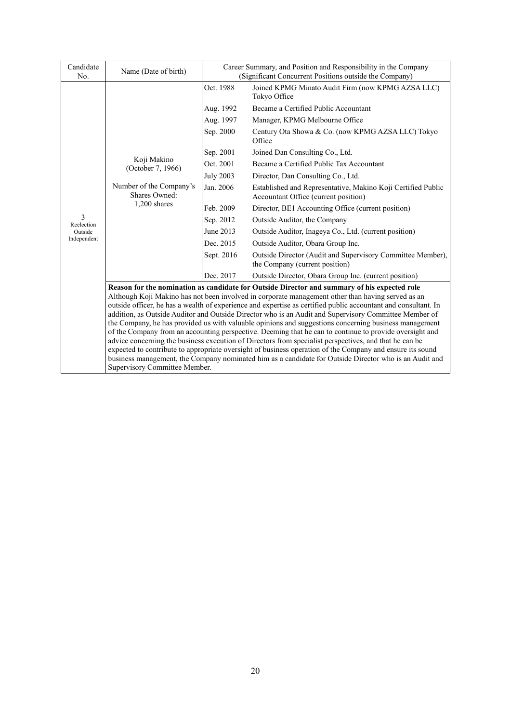| Candidate<br>N <sub>0</sub> | Name (Date of birth)                                                                                                                                                                                                                                                                                                                                                                                                                                                                                                                                                                                                                                                                                                                                                                                                                                                                                                                                                                                               | Career Summary, and Position and Responsibility in the Company<br>(Significant Concurrent Positions outside the Company) |                                                                                                      |  |  |  |
|-----------------------------|--------------------------------------------------------------------------------------------------------------------------------------------------------------------------------------------------------------------------------------------------------------------------------------------------------------------------------------------------------------------------------------------------------------------------------------------------------------------------------------------------------------------------------------------------------------------------------------------------------------------------------------------------------------------------------------------------------------------------------------------------------------------------------------------------------------------------------------------------------------------------------------------------------------------------------------------------------------------------------------------------------------------|--------------------------------------------------------------------------------------------------------------------------|------------------------------------------------------------------------------------------------------|--|--|--|
|                             |                                                                                                                                                                                                                                                                                                                                                                                                                                                                                                                                                                                                                                                                                                                                                                                                                                                                                                                                                                                                                    | Oct. 1988                                                                                                                | Joined KPMG Minato Audit Firm (now KPMG AZSA LLC)<br>Tokyo Office                                    |  |  |  |
|                             |                                                                                                                                                                                                                                                                                                                                                                                                                                                                                                                                                                                                                                                                                                                                                                                                                                                                                                                                                                                                                    | Aug. 1992                                                                                                                | Became a Certified Public Accountant                                                                 |  |  |  |
|                             |                                                                                                                                                                                                                                                                                                                                                                                                                                                                                                                                                                                                                                                                                                                                                                                                                                                                                                                                                                                                                    | Aug. 1997                                                                                                                | Manager, KPMG Melbourne Office                                                                       |  |  |  |
|                             |                                                                                                                                                                                                                                                                                                                                                                                                                                                                                                                                                                                                                                                                                                                                                                                                                                                                                                                                                                                                                    | Sep. 2000                                                                                                                | Century Ota Showa & Co. (now KPMG AZSA LLC) Tokyo<br>Office                                          |  |  |  |
|                             |                                                                                                                                                                                                                                                                                                                                                                                                                                                                                                                                                                                                                                                                                                                                                                                                                                                                                                                                                                                                                    | Sep. 2001                                                                                                                | Joined Dan Consulting Co., Ltd.                                                                      |  |  |  |
|                             | Koji Makino<br>(October 7, 1966)                                                                                                                                                                                                                                                                                                                                                                                                                                                                                                                                                                                                                                                                                                                                                                                                                                                                                                                                                                                   | Oct. 2001                                                                                                                | Became a Certified Public Tax Accountant                                                             |  |  |  |
|                             |                                                                                                                                                                                                                                                                                                                                                                                                                                                                                                                                                                                                                                                                                                                                                                                                                                                                                                                                                                                                                    | <b>July 2003</b>                                                                                                         | Director, Dan Consulting Co., Ltd.                                                                   |  |  |  |
|                             | Number of the Company's<br>Shares Owned:<br>$1,200$ shares                                                                                                                                                                                                                                                                                                                                                                                                                                                                                                                                                                                                                                                                                                                                                                                                                                                                                                                                                         | Jan. 2006                                                                                                                | Established and Representative, Makino Koji Certified Public<br>Accountant Office (current position) |  |  |  |
|                             |                                                                                                                                                                                                                                                                                                                                                                                                                                                                                                                                                                                                                                                                                                                                                                                                                                                                                                                                                                                                                    | Feb. 2009                                                                                                                | Director, BE1 Accounting Office (current position)                                                   |  |  |  |
| 3<br>Reelection<br>Outside  |                                                                                                                                                                                                                                                                                                                                                                                                                                                                                                                                                                                                                                                                                                                                                                                                                                                                                                                                                                                                                    | Sep. 2012                                                                                                                | Outside Auditor, the Company                                                                         |  |  |  |
|                             |                                                                                                                                                                                                                                                                                                                                                                                                                                                                                                                                                                                                                                                                                                                                                                                                                                                                                                                                                                                                                    | June 2013                                                                                                                | Outside Auditor, Inageya Co., Ltd. (current position)                                                |  |  |  |
| Independent                 |                                                                                                                                                                                                                                                                                                                                                                                                                                                                                                                                                                                                                                                                                                                                                                                                                                                                                                                                                                                                                    | Dec. 2015                                                                                                                | Outside Auditor, Obara Group Inc.                                                                    |  |  |  |
|                             |                                                                                                                                                                                                                                                                                                                                                                                                                                                                                                                                                                                                                                                                                                                                                                                                                                                                                                                                                                                                                    | Sept. 2016                                                                                                               | Outside Director (Audit and Supervisory Committee Member),<br>the Company (current position)         |  |  |  |
|                             |                                                                                                                                                                                                                                                                                                                                                                                                                                                                                                                                                                                                                                                                                                                                                                                                                                                                                                                                                                                                                    | Dec. 2017                                                                                                                | Outside Director, Obara Group Inc. (current position)                                                |  |  |  |
|                             | Reason for the nomination as candidate for Outside Director and summary of his expected role<br>Although Koji Makino has not been involved in corporate management other than having served as an<br>outside officer, he has a wealth of experience and expertise as certified public accountant and consultant. In<br>addition, as Outside Auditor and Outside Director who is an Audit and Supervisory Committee Member of<br>the Company, he has provided us with valuable opinions and suggestions concerning business management<br>of the Company from an accounting perspective. Deeming that he can to continue to provide oversight and<br>advice concerning the business execution of Directors from specialist perspectives, and that he can be<br>expected to contribute to appropriate oversight of business operation of the Company and ensure its sound<br>business management, the Company nominated him as a candidate for Outside Director who is an Audit and<br>Supervisory Committee Member. |                                                                                                                          |                                                                                                      |  |  |  |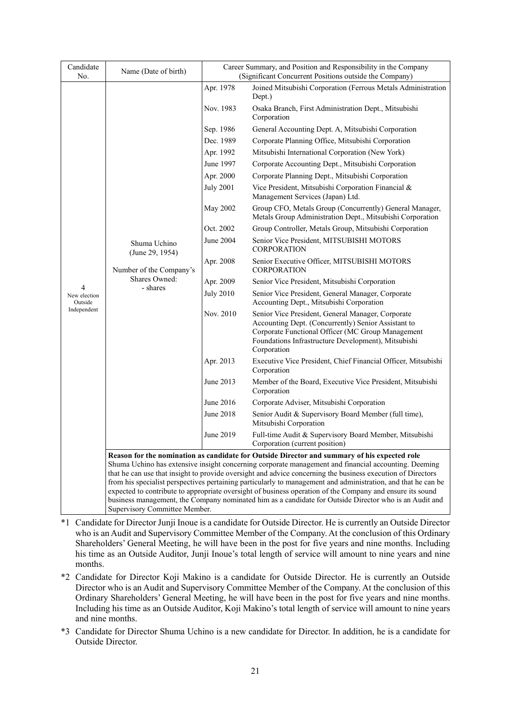| Candidate<br>No.                            | Name (Date of birth)                                                                    |                                                                                                            | Career Summary, and Position and Responsibility in the Company<br>(Significant Concurrent Positions outside the Company)                                                                                                                                                                                                                                                                                                                                                                                                                                                                                                                                    |
|---------------------------------------------|-----------------------------------------------------------------------------------------|------------------------------------------------------------------------------------------------------------|-------------------------------------------------------------------------------------------------------------------------------------------------------------------------------------------------------------------------------------------------------------------------------------------------------------------------------------------------------------------------------------------------------------------------------------------------------------------------------------------------------------------------------------------------------------------------------------------------------------------------------------------------------------|
|                                             |                                                                                         | Apr. 1978                                                                                                  | Joined Mitsubishi Corporation (Ferrous Metals Administration<br>Dept.)                                                                                                                                                                                                                                                                                                                                                                                                                                                                                                                                                                                      |
|                                             |                                                                                         | Nov. 1983                                                                                                  | Osaka Branch, First Administration Dept., Mitsubishi<br>Corporation                                                                                                                                                                                                                                                                                                                                                                                                                                                                                                                                                                                         |
|                                             |                                                                                         | Sep. 1986                                                                                                  | General Accounting Dept. A, Mitsubishi Corporation                                                                                                                                                                                                                                                                                                                                                                                                                                                                                                                                                                                                          |
|                                             |                                                                                         | Dec. 1989                                                                                                  | Corporate Planning Office, Mitsubishi Corporation                                                                                                                                                                                                                                                                                                                                                                                                                                                                                                                                                                                                           |
|                                             |                                                                                         | Apr. 1992                                                                                                  | Mitsubishi International Corporation (New York)                                                                                                                                                                                                                                                                                                                                                                                                                                                                                                                                                                                                             |
|                                             |                                                                                         | June 1997                                                                                                  | Corporate Accounting Dept., Mitsubishi Corporation                                                                                                                                                                                                                                                                                                                                                                                                                                                                                                                                                                                                          |
|                                             |                                                                                         | Apr. 2000                                                                                                  | Corporate Planning Dept., Mitsubishi Corporation                                                                                                                                                                                                                                                                                                                                                                                                                                                                                                                                                                                                            |
|                                             |                                                                                         | <b>July 2001</b><br>Vice President, Mitsubishi Corporation Financial &<br>Management Services (Japan) Ltd. |                                                                                                                                                                                                                                                                                                                                                                                                                                                                                                                                                                                                                                                             |
|                                             |                                                                                         | May 2002                                                                                                   | Group CFO, Metals Group (Concurrently) General Manager,<br>Metals Group Administration Dept., Mitsubishi Corporation                                                                                                                                                                                                                                                                                                                                                                                                                                                                                                                                        |
|                                             |                                                                                         | Oct. 2002                                                                                                  | Group Controller, Metals Group, Mitsubishi Corporation                                                                                                                                                                                                                                                                                                                                                                                                                                                                                                                                                                                                      |
|                                             | Shuma Uchino<br>(June 29, 1954)<br>Number of the Company's<br>Shares Owned:<br>- shares | June 2004                                                                                                  | Senior Vice President, MITSUBISHI MOTORS<br><b>CORPORATION</b>                                                                                                                                                                                                                                                                                                                                                                                                                                                                                                                                                                                              |
|                                             |                                                                                         | Apr. 2008                                                                                                  | Senior Executive Officer, MITSUBISHI MOTORS<br><b>CORPORATION</b>                                                                                                                                                                                                                                                                                                                                                                                                                                                                                                                                                                                           |
|                                             |                                                                                         | Apr. 2009                                                                                                  | Senior Vice President, Mitsubishi Corporation                                                                                                                                                                                                                                                                                                                                                                                                                                                                                                                                                                                                               |
| 4<br>New election<br>Outside<br>Independent |                                                                                         | <b>July 2010</b>                                                                                           | Senior Vice President, General Manager, Corporate<br>Accounting Dept., Mitsubishi Corporation                                                                                                                                                                                                                                                                                                                                                                                                                                                                                                                                                               |
|                                             |                                                                                         | Nov. 2010                                                                                                  | Senior Vice President, General Manager, Corporate<br>Accounting Dept. (Concurrently) Senior Assistant to<br>Corporate Functional Officer (MC Group Management<br>Foundations Infrastructure Development), Mitsubishi<br>Corporation                                                                                                                                                                                                                                                                                                                                                                                                                         |
|                                             |                                                                                         | Apr. 2013                                                                                                  | Executive Vice President, Chief Financial Officer, Mitsubishi<br>Corporation                                                                                                                                                                                                                                                                                                                                                                                                                                                                                                                                                                                |
|                                             |                                                                                         | June 2013                                                                                                  | Member of the Board, Executive Vice President, Mitsubishi<br>Corporation                                                                                                                                                                                                                                                                                                                                                                                                                                                                                                                                                                                    |
|                                             |                                                                                         | June 2016                                                                                                  | Corporate Adviser, Mitsubishi Corporation                                                                                                                                                                                                                                                                                                                                                                                                                                                                                                                                                                                                                   |
|                                             |                                                                                         | June 2018                                                                                                  | Senior Audit & Supervisory Board Member (full time),<br>Mitsubishi Corporation                                                                                                                                                                                                                                                                                                                                                                                                                                                                                                                                                                              |
|                                             |                                                                                         | June 2019                                                                                                  | Full-time Audit & Supervisory Board Member, Mitsubishi<br>Corporation (current position)                                                                                                                                                                                                                                                                                                                                                                                                                                                                                                                                                                    |
|                                             | Supervisory Committee Member.                                                           |                                                                                                            | Reason for the nomination as candidate for Outside Director and summary of his expected role<br>Shuma Uchino has extensive insight concerning corporate management and financial accounting. Deeming<br>that he can use that insight to provide oversight and advice concerning the business execution of Directors<br>from his specialist perspectives pertaining particularly to management and administration, and that he can be<br>expected to contribute to appropriate oversight of business operation of the Company and ensure its sound<br>business management, the Company nominated him as a candidate for Outside Director who is an Audit and |

- \*1 Candidate for Director Junji Inoue is a candidate for Outside Director. He is currently an Outside Director who is an Audit and Supervisory Committee Member of the Company. At the conclusion of this Ordinary Shareholders' General Meeting, he will have been in the post for five years and nine months. Including his time as an Outside Auditor, Junji Inoue's total length of service will amount to nine years and nine months.
- \*2 Candidate for Director Koji Makino is a candidate for Outside Director. He is currently an Outside Director who is an Audit and Supervisory Committee Member of the Company. At the conclusion of this Ordinary Shareholders' General Meeting, he will have been in the post for five years and nine months. Including his time as an Outside Auditor, Koji Makino's total length of service will amount to nine years and nine months.
- \*3 Candidate for Director Shuma Uchino is a new candidate for Director. In addition, he is a candidate for Outside Director.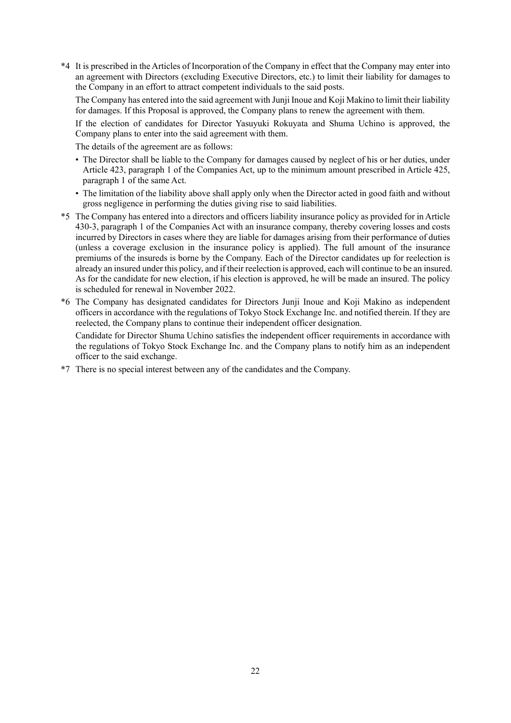\*4 It is prescribed in the Articles of Incorporation of the Company in effect that the Company may enter into an agreement with Directors (excluding Executive Directors, etc.) to limit their liability for damages to the Company in an effort to attract competent individuals to the said posts.

The Company has entered into the said agreement with Junji Inoue and Koji Makino to limit their liability for damages. If this Proposal is approved, the Company plans to renew the agreement with them.

If the election of candidates for Director Yasuyuki Rokuyata and Shuma Uchino is approved, the Company plans to enter into the said agreement with them.

The details of the agreement are as follows:

- The Director shall be liable to the Company for damages caused by neglect of his or her duties, under Article 423, paragraph 1 of the Companies Act, up to the minimum amount prescribed in Article 425, paragraph 1 of the same Act.
- The limitation of the liability above shall apply only when the Director acted in good faith and without gross negligence in performing the duties giving rise to said liabilities.
- \*5 The Company has entered into a directors and officers liability insurance policy as provided for in Article 430-3, paragraph 1 of the Companies Act with an insurance company, thereby covering losses and costs incurred by Directors in cases where they are liable for damages arising from their performance of duties (unless a coverage exclusion in the insurance policy is applied). The full amount of the insurance premiums of the insureds is borne by the Company. Each of the Director candidates up for reelection is already an insured under this policy, and if their reelection is approved, each will continue to be an insured. As for the candidate for new election, if his election is approved, he will be made an insured. The policy is scheduled for renewal in November 2022.
- \*6 The Company has designated candidates for Directors Junji Inoue and Koji Makino as independent officers in accordance with the regulations of Tokyo Stock Exchange Inc. and notified therein. If they are reelected, the Company plans to continue their independent officer designation.

Candidate for Director Shuma Uchino satisfies the independent officer requirements in accordance with the regulations of Tokyo Stock Exchange Inc. and the Company plans to notify him as an independent officer to the said exchange.

\*7 There is no special interest between any of the candidates and the Company.